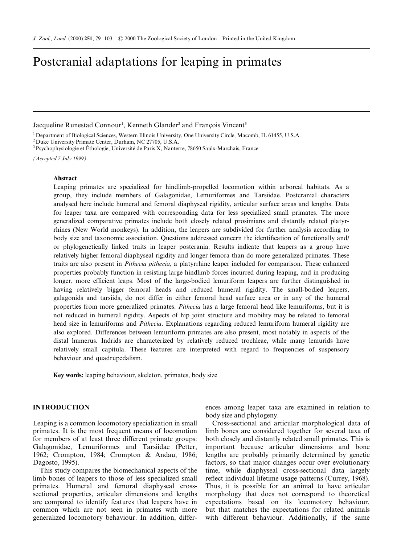# Postcranial adaptations for leaping in primates

Jacqueline Runestad Connour<sup>1</sup>, Kenneth Glander<sup>2</sup> and François Vincent<sup>3</sup>

<sup>1</sup> Department of Biological Sciences, Western Illinois University, One University Circle, Macomb, IL 61455, U.S.A.

<sup>2</sup> Duke University Primate Center, Durham, NC 27705, U.S.A.

<sup>3</sup> Psychophysiologie et Éthologie, Université de Paris X, Nanterre, 78650 Saulx-Marchais, France

(Accepted 7 July 1999)

## Abstract

Leaping primates are specialized for hindlimb-propelled locomotion within arboreal habitats. As a group, they include members of Galagonidae, Lemuriformes and Tarsiidae. Postcranial characters analysed here include humeral and femoral diaphyseal rigidity, articular surface areas and lengths. Data for leaper taxa are compared with corresponding data for less specialized small primates. The more generalized comparative primates include both closely related prosimians and distantly related platyrrhines (New World monkeys). In addition, the leapers are subdivided for further analysis according to body size and taxonomic association. Questions addressed concern the identification of functionally and/ or phylogenetically linked traits in leaper postcrania. Results indicate that leapers as a group have relatively higher femoral diaphyseal rigidity and longer femora than do more generalized primates. These traits are also present in Pithecia pithecia, a platyrrhine leaper included for comparison. These enhanced properties probably function in resisting large hindlimb forces incurred during leaping, and in producing longer, more efficient leaps. Most of the large-bodied lemuriform leapers are further distinguished in having relatively bigger femoral heads and reduced humeral rigidity. The small-bodied leapers, galagonids and tarsiids, do not differ in either femoral head surface area or in any of the humeral properties from more generalized primates. Pithecia has a large femoral head like lemuriforms, but it is not reduced in humeral rigidity. Aspects of hip joint structure and mobility may be related to femoral head size in lemuriforms and Pithecia. Explanations regarding reduced lemuriform humeral rigidity are also explored. Differences between lemuriform primates are also present, most notably in aspects of the distal humerus. Indrids are characterized by relatively reduced trochleae, while many lemurids have relatively small capitula. These features are interpreted with regard to frequencies of suspensory behaviour and quadrupedalism.

Key words: leaping behaviour, skeleton, primates, body size

## INTRODUCTION

Leaping is a common locomotory specialization in small primates. It is the most frequent means of locomotion for members of at least three different primate groups: Galagonidae, Lemuriformes and Tarsiidae (Petter, 1962; Crompton, 1984; Crompton & Andau, 1986; Dagosto, 1995).

This study compares the biomechanical aspects of the limb bones of leapers to those of less specialized small primates. Humeral and femoral diaphyseal crosssectional properties, articular dimensions and lengths are compared to identify features that leapers have in common which are not seen in primates with more generalized locomotory behaviour. In addition, differences among leaper taxa are examined in relation to body size and phylogeny.

Cross-sectional and articular morphological data of limb bones are considered together for several taxa of both closely and distantly related small primates. This is important because articular dimensions and bone lengths are probably primarily determined by genetic factors, so that major changes occur over evolutionary time, while diaphyseal cross-sectional data largely reflect individual lifetime usage patterns (Currey, 1968). Thus, it is possible for an animal to have articular morphology that does not correspond to theoretical expectations based on its locomotory behaviour, but that matches the expectations for related animals with different behaviour. Additionally, if the same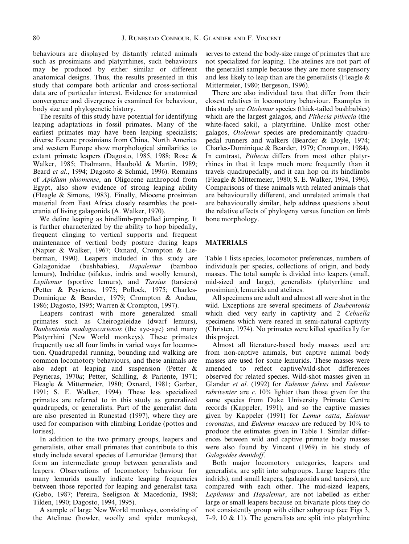behaviours are displayed by distantly related animals such as prosimians and platyrrhines, such behaviours may be produced by either similar or different anatomical designs. Thus, the results presented in this study that compare both articular and cross-sectional data are of particular interest. Evidence for anatomical convergence and divergence is examined for behaviour, body size and phylogenetic history.

The results of this study have potential for identifying leaping adaptations in fossil primates. Many of the earliest primates may have been leaping specialists; diverse Eocene prosimians from China, North America and western Europe show morphological similarities to extant primate leapers (Dagosto, 1985, 1988; Rose & Walker, 1985; Thalmann, Haubold & Martin, 1989; Beard et al., 1994; Dagosto & Schmid, 1996). Remains of Apidium phiomense, an Oligocene anthropoid from Egypt, also show evidence of strong leaping ability (Fleagle & Simons, 1983). Finally, Miocene prosimian material from East Africa closely resembles the postcrania of living galagonids (A. Walker, 1970).

We define leaping as hindlimb-propelled jumping. It is further characterized by the ability to hop bipedally, frequent clinging to vertical supports and frequent maintenance of vertical body posture during leaps (Napier & Walker, 1967; Oxnard, Crompton & Lieberman, 1990). Leapers included in this study are Galagonidae (bushbabies), Hapalemur (bamboo lemurs), Indridae (sifakas, indris and woolly lemurs), Lepilemur (sportive lemurs), and Tarsius (tarsiers) (Petter & Peyrieras, 1975; Pollock, 1975; Charles-Dominique & Bearder, 1979; Crompton & Andau, 1986; Dagosto, 1995; Warren & Crompton, 1997).

Leapers contrast with more generalized small primates such as Cheirogaleidae (dwarf lemurs), Daubentonia madagascariensis (the aye-aye) and many Platyrrhini (New World monkeys). These primates frequently use all four limbs in varied ways for locomotion. Quadrupedal running, bounding and walking are common locomotory behaviours, and these animals are also adept at leaping and suspension (Petter & Peyrieras, 1970a; Petter, Schilling, & Pariente, 1971; Fleagle & Mittermeier, 1980; Oxnard, 1981; Garber, 1991; S. E. Walker, 1994). These less specialized primates are referred to in this study as generalized quadrupeds, or generalists. Part of the generalist data are also presented in Runestad (1997), where they are used for comparison with climbing Loridae (pottos and lorises).

In addition to the two primary groups, leapers and generalists, other small primates that contribute to this study include several species of Lemuridae (lemurs) that form an intermediate group between generalists and leapers. Observations of locomotory behaviour for many lemurids usually indicate leaping frequencies between those reported for leaping and generalist taxa (Gebo, 1987; Pereira, Seeligson & Macedonia, 1988; Tilden, 1990; Dagosto, 1994, 1995).

A sample of large New World monkeys, consisting of the Atelinae (howler, woolly and spider monkeys), serves to extend the body-size range of primates that are not specialized for leaping. The atelines are not part of the generalist sample because they are more suspensory and less likely to leap than are the generalists (Fleagle & Mittermeier, 1980; Bergeson, 1996).

There are also individual taxa that differ from their closest relatives in locomotory behaviour. Examples in this study are Otolemur species (thick-tailed bushbabies) which are the largest galagos, and Pithecia pithecia (the white-faced saki), a platyrrhine. Unlike most other galagos, Otolemur species are predominantly quadrupedal runners and walkers (Bearder & Doyle, 1974; Charles-Dominique & Bearder, 1979; Crompton, 1984). In contrast, Pithecia differs from most other platyrrhines in that it leaps much more frequently than it travels quadrupedally, and it can hop on its hindlimbs (Fleagle & Mittermeier, 1980; S. E. Walker, 1994, 1996). Comparisons of these animals with related animals that are behaviourally different, and unrelated animals that are behaviourally similar, help address questions about the relative effects of phylogeny versus function on limb bone morphology.

## MATERIALS

Table 1 lists species, locomotor preferences, numbers of individuals per species, collections of origin, and body masses. The total sample is divided into leapers (small, mid-sized and large), generalists (platyrrhine and prosimian), lemurids and atelines.

All specimens are adult and almost all were shot in the wild. Exceptions are several specimens of Daubentonia which died very early in captivity and 2 Cebuella specimens which were reared in semi-natural captivity (Christen, 1974). No primates were killed specifically for this project.

Almost all literature-based body masses used are from non-captive animals, but captive animal body masses are used for some lemurids. These masses were amended to reflect captive/wild-shot differences observed for related species. Wild-shot masses given in Glander et al. (1992) for Eulemur fulvus and Eulemur *rubriventer* are  $c$ . 10% lighter than those given for the same species from Duke University Primate Centre records (Kappeler, 1991), and so the captive masses given by Kappeler (1991) for Lemur catta, Eulemur coronatus, and Eulemur macaco are reduced by 10% to produce the estimates given in Table 1. Similar differences between wild and captive primate body masses were also found by Vincent (1969) in his study of Galagoides demidoff.

Both major locomotory categories, leapers and generalists, are split into subgroups. Large leapers (the indrids), and small leapers, (galagonids and tarsiers), are compared with each other. The mid-sized leapers, Lepilemur and Hapalemur, are not labelled as either large or small leapers because on bivariate plots they do not consistently group with either subgroup (see Figs 3, 7 $-9$ , 10 & 11). The generalists are split into platyrrhine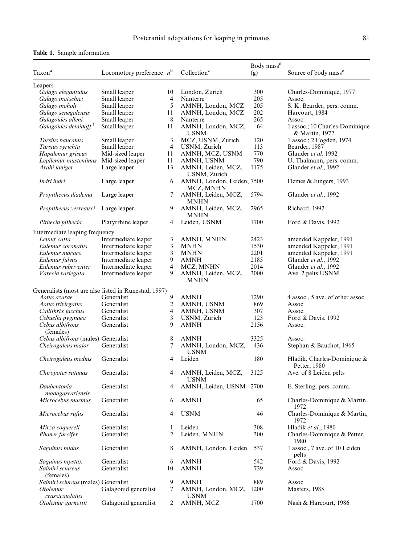## Table 1. Sample information

| Taxon <sup>a</sup>                                   | Locomotory preference $n^b$ |                          | Collection <sup>c</sup>                 | Body mass <sup>d</sup><br>(g) | Source of body mass <sup>e</sup>                 |
|------------------------------------------------------|-----------------------------|--------------------------|-----------------------------------------|-------------------------------|--------------------------------------------------|
| Leapers                                              |                             |                          |                                         |                               |                                                  |
| Galago elegantulus                                   | Small leaper                | 10                       | London, Zurich                          | 300                           | Charles-Dominique, 1977                          |
| Galago matschiei                                     | Small leaper                | 4                        | Nanterre                                | 205                           | Assoc.                                           |
| Galago moholi                                        | Small leaper                | 5                        | AMNH, London, MCZ                       | 205                           | S. K. Bearder, pers. comm.                       |
| Galago senegalensis                                  | Small leaper                | 11                       | AMNH, London, MCZ                       | 202                           | Harcourt, 1984                                   |
| Galagoides alleni                                    | Small leaper                | 8                        | Nanterre                                | 265                           | Assoc.                                           |
| Galagoides demidoff <sup>f</sup>                     | Small leaper                | 11                       | AMNH, London, MCZ,<br><b>USNM</b>       | 64                            | 1 assoc.; 10 Charles-Dominique<br>& Martin, 1972 |
| Tarsius bancanus                                     | Small leaper                | 3                        | MCZ, USNM, Zurich                       | 120                           | 1 assoc.; 2 Fogden, 1974                         |
| Tarsius syrichta                                     | Small leaper                | 4                        | USNM, Zurich                            | 113                           | Bearder, 1987                                    |
| Hapalemur griseus                                    | Mid-sized leaper            | 11                       | AMNH, MCZ, USNM                         | 770                           | Glander et al. 1992                              |
| Lepilemur mustenlinus                                | Mid-sized leaper            | 11                       | AMNH, USNM                              | 790                           | U. Thalmann, pers. comm.                         |
| Avahi laniger                                        | Large leaper                | 13                       | AMNH, Leiden, MCZ,<br>USNM, Zurich      | 1175                          | Glander et al., 1992                             |
| Indri indri                                          | Large leaper                | 6                        | AMNH, London, Leiden, 7500<br>MCZ, MNHN |                               | Demes & Jungers, 1993                            |
| Propithecus diadema                                  | Large leaper                | 7                        | AMNH, Leiden, MCZ,<br><b>MNHN</b>       | 5794                          | Glander et al., 1992                             |
| Propithecus verreauxi                                | Large leaper                | 9                        | AMNH, Leiden, MCZ,<br><b>MNHN</b>       | 2965                          | Richard, 1992                                    |
| Pithecia pithecia                                    | Platyrrhine leaper          | 4                        | Leiden, USNM                            | 1700                          | Ford & Davis, 1992                               |
| Intermediate leaping frequency                       |                             |                          |                                         |                               |                                                  |
| Lemur catta                                          | Intermediate leaper         | 3                        | AMNH, MNHN                              | 2423                          | amended Kappeler, 1991                           |
| Eulemur coronatus                                    | Intermediate leaper         | 3                        | <b>MNHN</b>                             | 1530                          | amended Kappeler, 1991                           |
| Eulemur macaco                                       | Intermediate leaper         | 3                        | <b>MNHN</b>                             | 2201                          | amended Kappeler, 1991                           |
| Eulemur fulvus                                       | Intermediate leaper         | 9                        | <b>AMNH</b>                             | 2185                          | Glander et al., 1992                             |
| Eulemur rubriventer                                  | Intermediate leaper         | $\overline{\mathcal{A}}$ | MCZ, MNHN                               | 2014                          | Glander et al., 1992                             |
| Varecia variegata                                    | Intermediate leaper         | 9                        | AMNH, Leiden, MCZ,<br><b>MNHN</b>       | 3000                          | Ave. 2 pelts USNM                                |
| Generalists (most are also listed in Runestad, 1997) |                             |                          |                                         |                               |                                                  |
| Aotus azarae                                         | Generalist                  | 9                        | <b>AMNH</b>                             | 1290                          | 4 assoc., 5 ave. of other assoc.                 |
| Aotus trivirgatus                                    | Generalist                  | 2                        | AMNH, USNM                              | 869                           | Assoc.                                           |
| Callithrix jacchus                                   | Generalist                  | 4                        | AMNH, USNM                              | 307                           | Assoc.                                           |
| Cebuella pygmaea                                     | Generalist                  | 3                        | USNM, Zurich                            | 123                           | Ford & Davis, 1992                               |
| Cebus albifrons<br>(females)                         | Generalist                  | 9                        | <b>AMNH</b>                             | 2156                          | Assoc.                                           |
| Cebus albifrons (males) Generalist                   |                             | 8                        | <b>AMNH</b>                             | 3325                          | Assoc.                                           |
| Cheirogaleus major                                   | Generalist                  | 7                        | AMNH, London, MCZ,<br><b>USNM</b>       | 436                           | Stephan & Bauchot, 1965                          |
| Cheirogaleus medius                                  | Generalist                  | 4                        | Leiden                                  | 180                           | Hladik, Charles-Dominique &<br>Petter, 1980      |
| Chiropotes satanas                                   | Generalist                  | 4                        | AMNH, Leiden, MCZ,<br><b>USNM</b>       | 3125                          | Ave. of 8 Leiden pelts                           |
| Daubentonia<br>madagascariensis                      | Generalist                  | 4                        | AMNH, Leiden, USNM 2700                 |                               | E. Sterling, pers. comm.                         |
| Microcebus murinus                                   | Generalist                  | 6                        | <b>AMNH</b>                             | 65                            | Charles-Dominique & Martin,<br>1972              |
| Microcebus rufus                                     | Generalist                  | 4                        | <b>USNM</b>                             | 46                            | Charles-Dominique & Martin,<br>1972              |
| Mirza coquereli                                      | Generalist                  | 1                        | Leiden                                  | 308                           | Hladik et al., 1980                              |
| Phaner furcifer                                      | Generalist                  | 2                        | Leiden, MNHN                            | 300                           | Charles-Dominique & Petter,<br>1980              |
| Saguinus midas                                       | Generalist                  | 8                        | AMNH, London, Leiden                    | 537                           | 1 assoc., 7 ave. of 10 Leiden<br>pelts           |
| Saguinus mystax                                      | Generalist                  | 6                        | <b>AMNH</b>                             | 542                           | Ford & Davis, 1992                               |
| Saimiri sciureus                                     | Generalist                  | 10                       | <b>AMNH</b>                             | 739                           | Assoc.                                           |
| (females)                                            |                             |                          |                                         |                               |                                                  |
| Saimiri sciureus (males) Generalist                  |                             | 9                        | <b>AMNH</b>                             | 889                           | Assoc.                                           |
| <i>Otolemur</i>                                      | Galagonid generalist        | 7                        | AMNH, London, MCZ,                      | 1200                          | Masters, 1985                                    |
| crassicaudatus                                       |                             |                          | <b>USNM</b>                             |                               |                                                  |
| Otolemur garnettii                                   | Galagonid generalist        | 2                        | AMNH, MCZ                               | 1700                          | Nash & Harcourt, 1986                            |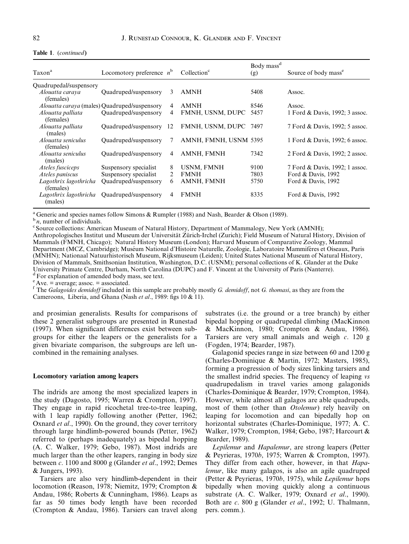| Taxon <sup>a</sup>                 | Locomotory preference $n^b$                         |    | Collection <sup>c</sup> | Body mass <sup>d</sup><br>(g) | Source of body mass <sup>e</sup> |
|------------------------------------|-----------------------------------------------------|----|-------------------------|-------------------------------|----------------------------------|
| Ouadrupedal/suspensory             |                                                     |    |                         |                               |                                  |
| Alouatta caraya<br>(females)       | Quadruped/suspensory                                | 3  | <b>AMNH</b>             | 5408                          | Assoc.                           |
|                                    | <i>Alouatta caraya</i> (males) Quadruped/suspensory | 4  | <b>AMNH</b>             | 8546                          | Assoc.                           |
| Alouatta palliata<br>(females)     | Quadruped/suspensory                                | 4  | FMNH, USNM, DUPC        | 5457                          | 1 Ford & Davis, 1992; 3 assoc.   |
| Alouatta palliata<br>(males)       | Quadruped/suspensory                                | 12 | FMNH, USNM, DUPC        | 7497                          | 7 Ford & Davis, 1992; 5 assoc.   |
| Alouatta seniculus<br>(females)    | Quadruped/suspensory                                | 7  | AMNH, FMNH, USNM 5395   |                               | 1 Ford & Davis, 1992; 6 assoc.   |
| Alouatta seniculus<br>(males)      | Quadruped/suspensory                                | 4  | AMNH, FMNH              | 7342                          | 2 Ford & Davis, 1992; 2 assoc.   |
| Ateles fusciceps                   | Suspensory specialist                               | 8  | USNM, FMNH              | 9100                          | 7 Ford & Davis, 1992; 1 assoc.   |
| Ateles paniscus                    | Suspensory specialist                               | 2  | <b>FMNH</b>             | 7803                          | Ford & Davis, 1992               |
| Lagothrix lagothricha<br>(females) | Quadruped/suspensory                                | 6  | AMNH, FMNH              | 5750                          | Ford & Davis, 1992               |
| Lagothrix lagothricha<br>(males)   | Quadruped/suspensory                                | 4  | <b>FMNH</b>             | 8335                          | Ford & Davis, 1992               |

## Table 1. (continued)

<sup>a</sup> Generic and species names follow Simons & Rumpler (1988) and Nash, Bearder & Olson (1989).

 $b_n$ , number of individuals.

<sup>c</sup> Source collections: American Museum of Natural History, Department of Mammalogy, New York (AMNH);

Anthropologisches Institut und Museum der Universität Zürich-Irchel (Zurich); Field Museum of Natural History, Division of Mammals (FMNH, Chicago); Natural History Museum (London); Harvard Museum of Comparative Zoology, Mammal Department (MCZ, Cambridge); Muséum National d'Histoire Naturelle, Zoologie, Laboratoire Mammifères et Oiseaux, Paris (MNHN); Nationaal Natuurhistorisch Museum, Rijksmuseum (Leiden); United States National Museum of Natural History, Division of Mammals, Smithsonian Institution, Washington, D.C. (USNM); personal collections of K. Glander at the Duke University Primate Centre, Durham, North Carolina (DUPC) and F. Vincent at the University of Paris (Nanterre). <sup>d</sup> For explanation of amended body mass, see text.

 $^{\circ}$  Ave. = average; assoc. = associated.

 $f$  The Galagoides demidoff included in this sample are probably mostly G. demidoff, not G. thomasi, as they are from the Cameroons, Liberia, and Ghana (Nash et al., 1989: figs 10  $\&$  11).

and prosimian generalists. Results for comparisons of these 2 generalist subgroups are presented in Runestad (1997). When significant differences exist between subgroups for either the leapers or the generalists for a given bivariate comparison, the subgroups are left uncombined in the remaining analyses.

#### Locomotory variation among leapers

The indrids are among the most specialized leapers in the study (Dagosto, 1995; Warren & Crompton, 1997). They engage in rapid ricochetal tree-to-tree leaping, with 1 leap rapidly following another (Petter, 1962; Oxnard et al., 1990). On the ground, they cover territory through large hindlimb-powered bounds (Petter, 1962) referred to (perhaps inadequately) as bipedal hopping (A. C. Walker, 1979; Gebo, 1987). Most indrids are much larger than the other leapers, ranging in body size between  $c$ . 1100 and 8000 g (Glander et al., 1992; Demes & Jungers, 1993).

Tarsiers are also very hindlimb-dependent in their locomotion (Reason, 1978; Niemitz, 1979; Crompton & Andau, 1986; Roberts & Cunningham, 1986). Leaps as far as 50 times body length have been recorded (Crompton & Andau, 1986). Tarsiers can travel along substrates (i.e. the ground or a tree branch) by either bipedal hopping or quadrupedal climbing (MacKinnon & MacKinnon, 1980; Crompton & Andau, 1986). Tarsiers are very small animals and weigh c. 120 g (Fogden, 1974; Bearder, 1987).

Galagonid species range in size between 60 and 1200 g (Charles-Dominique & Martin, 1972; Masters, 1985), forming a progression of body sizes linking tarsiers and the smallest indrid species. The frequency of leaping vs quadrupedalism in travel varies among galagonids (Charles-Dominique & Bearder, 1979; Crompton, 1984). However, while almost all galagos are able quadrupeds, most of them (other than *Otolemur*) rely heavily on leaping for locomotion and can bipedally hop on horizontal substrates (Charles-Dominique, 1977; A. C. Walker, 1979; Crompton, 1984; Gebo, 1987; Harcourt & Bearder, 1989).

Lepilemur and Hapalemur, are strong leapers (Petter & Peyrieras, 1970b, 1975; Warren & Crompton, 1997). They differ from each other, however, in that *Hapa*lemur, like many galagos, is also an agile quadruped (Petter & Peyrieras, 1970b, 1975), while Lepilemur hops bipedally when moving quickly along a continuous substrate (A. C. Walker, 1979; Oxnard et al., 1990). Both are c. 800 g (Glander et al., 1992; U. Thalmann, pers. comm.).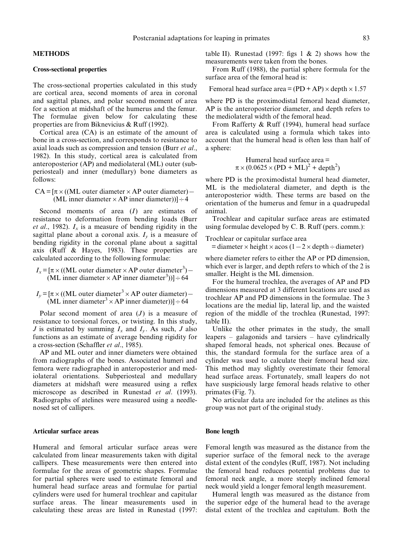#### METHODS

## Cross-sectional properties

The cross-sectional properties calculated in this study are cortical area, second moments of area in coronal and sagittal planes, and polar second moment of area for a section at midshaft of the humerus and the femur. The formulae given below for calculating these properties are from Biknevicius & Ruff (1992).

Cortical area (CA) is an estimate of the amount of bone in a cross-section, and corresponds to resistance to axial loads such as compression and tension (Burr et al., 1982). In this study, cortical area is calculated from anteroposterior (AP) and mediolateral (ML) outer (subperiosteal) and inner (medullary) bone diameters as follows:

 $CA = [\pi \times ((ML$  outer diameter  $\times AP$  outer diameter) – (ML inner diameter  $\times$  AP inner diameter))] $\div$ 4

Second moments of area  $(I)$  are estimates of resistance to deformation from bending loads (Burr *et al.*, 1982).  $I_x$  is a measure of bending rigidity in the sagittal plane about a coronal axis.  $I<sub>v</sub>$  is a measure of bending rigidity in the coronal plane about a sagittal axis (Ruff & Hayes, 1983). These properties are calculated according to the following formulae:

- $I_x = [\pi \times ((ML$  outer diameter  $\times$  AP outer diameter<sup>3</sup>) (ML inner diameter  $\times$  AP inner diameter<sup>3</sup>))]  $\div$  64
- $I_y = [\pi \times ((ML$  outer diameter<sup>3</sup> × AP outer diameter) (ML inner diameter<sup>3</sup> × AP inner diameter))]  $\div 64$

Polar second moment of area  $(J)$  is a measure of resistance to torsional forces, or twisting. In this study, J is estimated by summing  $I_x$  and  $I_y$ . As such, J also functions as an estimate of average bending rigidity for a cross-section (Schaffler et al., 1985).

AP and ML outer and inner diameters were obtained from radiographs of the bones. Associated humeri and femora were radiographed in anteroposterior and mediolateral orientations. Subperiosteal and medullary diameters at midshaft were measured using a reflex microscope as described in Runestad et al. (1993). Radiographs of atelines were measured using a needlenosed set of callipers.

## Articular surface areas

Humeral and femoral articular surface areas were calculated from linear measurements taken with digital callipers. These measurements were then entered into formulae for the areas of geometric shapes. Formulae for partial spheres were used to estimate femoral and humeral head surface areas and formulae for partial cylinders were used for humeral trochlear and capitular surface areas. The linear measurements used in calculating these areas are listed in Runestad (1997:

table II). Runestad (1997: figs 1  $\&$  2) shows how the measurements were taken from the bones.

From Ruff (1988), the partial sphere formula for the surface area of the femoral head is:

Femoral head surface area =  $(PD + AP) \times depth \times 1.57$ 

where PD is the proximodistal femoral head diameter, AP is the anteroposterior diameter, and depth refers to the mediolateral width of the femoral head.

From Rafferty & Ruff (1994), humeral head surface area is calculated using a formula which takes into account that the humeral head is often less than half of a sphere:

> Humeral head surface area =  $\pi \times (0.0625 \times (PD + ML)^2 + depth^2)$

where PD is the proximodistal humeral head diameter, ML is the mediolateral diameter, and depth is the anteroposterior width. These terms are based on the orientation of the humerus and femur in a quadrupedal animal.

Trochlear and capitular surface areas are estimated using formulae developed by C. B. Ruff (pers. comm.):

Trochlear or capitular surface area

 $=$  diameter  $\times$  height  $\times$  acos (1-2  $\times$  depth  $\div$  diameter)

where diameter refers to either the AP or PD dimension, which ever is larger, and depth refers to which of the 2 is smaller. Height is the ML dimension.

For the humeral trochlea, the averages of AP and PD dimensions measured at 3 different locations are used as trochlear AP and PD dimensions in the formulae. The 3 locations are the medial lip, lateral lip, and the waisted region of the middle of the trochlea (Runestad, 1997: table II).

Unlike the other primates in the study, the small leapers  $-\text{galagonids}$  and tarsiers  $-\text{have cylindrically}$ shaped femoral heads, not spherical ones. Because of this, the standard formula for the surface area of a cylinder was used to calculate their femoral head size. This method may slightly overestimate their femoral head surface areas. Fortunately, small leapers do not have suspiciously large femoral heads relative to other primates (Fig. 7).

No articular data are included for the atelines as this group was not part of the original study.

### Bone length

Femoral length was measured as the distance from the superior surface of the femoral neck to the average distal extent of the condyles (Ruff, 1987). Not including the femoral head reduces potential problems due to femoral neck angle, a more steeply inclined femoral neck would yield a longer femoral length measurement.

Humeral length was measured as the distance from the superior edge of the humeral head to the average distal extent of the trochlea and capitulum. Both the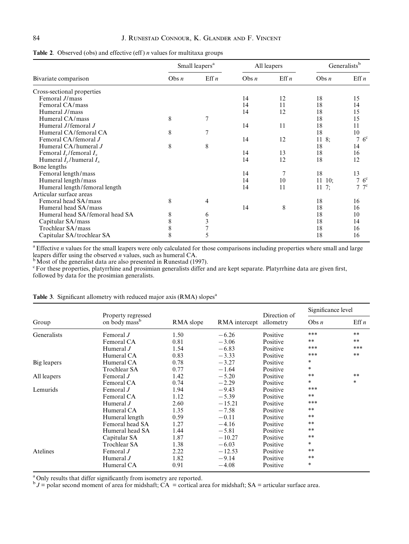|                                 |         | Small leapers <sup>a</sup> |         | All leapers | Generalists <sup>b</sup> |             |
|---------------------------------|---------|----------------------------|---------|-------------|--------------------------|-------------|
| Bivariate comparison            | Obs $n$ | Eff $n$                    | Obs $n$ | Effn        | Obs $n$                  | Eff $n$     |
| Cross-sectional properties      |         |                            |         |             |                          |             |
| Femoral <i>J</i> /mass          |         |                            | 14      | 12          | 18                       | 15          |
| Femoral CA/mass                 |         |                            | 14      | 11          | 18                       | 14          |
| Humeral $J/mass$                |         |                            | 14      | 12          | 18                       | 15          |
| Humeral CA/mass                 | 8       | 7                          |         |             | 18                       | 15          |
| Humeral $J$ /femoral $J$        |         |                            | 14      | 11          | 18                       | 11          |
| Humeral CA/femoral CA           | 8       | 7                          |         |             | 18                       | 10          |
| Femoral CA/femoral J            |         |                            | 14      | 12          | 11 8;                    | $7.6^\circ$ |
| Humeral $CA/h$ umeral $J$       | 8       | 8                          |         |             | 18                       | 14          |
| Femoral $I_v$ /femoral $I_x$    |         |                            | 14      | 13          | 18                       | 16          |
| Humeral $I_v$ /humeral $I_x$    |         |                            | 14      | 12          | 18                       | 12          |
| Bone lengths                    |         |                            |         |             |                          |             |
| Femoral length/mass             |         |                            | 14      | 7           | 18                       | 13          |
| Humeral length/mass             |         |                            | 14      | 10          | 11<br>10:                | $7.6^\circ$ |
| Humeral length/femoral length   |         |                            | 14      | 11          | $11\,7;$                 | $7T^c$      |
| Articular surface areas         |         |                            |         |             |                          |             |
| Femoral head SA/mass            | 8       | 4                          |         |             | 18                       | 16          |
| Humeral head SA/mass            |         |                            | 14      | 8           | 18                       | 16          |
| Humeral head SA/femoral head SA | 8       | 6                          |         |             | 18                       | 10          |
| Capitular SA/mass               | 8       | $\mathfrak{Z}$             |         |             | 18                       | 14          |
| Trochlear SA/mass               | 8       | $\boldsymbol{7}$           |         |             | 18                       | 16          |
| Capitular SA/trochlear SA       | 8       | 5                          |         |             | 18                       | 16          |

Table 2. Observed (obs) and effective (eff)  $n$  values for multitaxa groups

<sup>a</sup> Effective *n* values for the small leapers were only calculated for those comparisons including properties where small and large leapers differ using the observed *n* values, such as humeral CA.

leapers differ using the observed *n* values, such as humeral CA.<br><sup>b</sup> Most of the generalist data are also presented in Runestad (1997).<br><sup>c</sup> For these properties, platyrrhine and prosimian generalists differ and are kept s followed by data for the prosimian generalists.

|             | Property regressed        |           |               | Direction of | Significance level |        |
|-------------|---------------------------|-----------|---------------|--------------|--------------------|--------|
| Group       | on body mass <sup>b</sup> | RMA slope | RMA intercept | allometry    | Obs $n$            | Effn   |
| Generalists | Femoral $J$               | 1.50      | $-6.26$       | Positive     | ***                | $**$   |
|             | Femoral CA                | 0.81      | $-3.06$       | Positive     | $***$              | $**$   |
|             | Humeral $J$               | 1.54      | $-6.83$       | Positive     | ***                | ***    |
|             | Humeral CA                | 0.83      | $-3.33$       | Positive     | ***                | $***$  |
| Big leapers | Humeral CA                | 0.78      | $-3.27$       | Positive     | $\ast$             |        |
|             | Trochlear SA              | 0.77      | $-1.64$       | Positive     | $\ast$             |        |
| All leapers | Femoral <i>J</i>          | 1.42      | $-5.20$       | Positive     | $**$               | $***$  |
|             | Femoral CA                | 0.74      | $-2.29$       | Positive     | $\ast$             | $\ast$ |
| Lemurids    | Femoral $J$               | 1.94      | $-9.43$       | Positive     | ***                |        |
|             | Femoral CA                | 1.12      | $-5.39$       | Positive     | $* *$              |        |
|             | Humeral $J$               | 2.60      | $-15.21$      | Positive     | ***                |        |
|             | Humeral CA                | 1.35      | $-7.58$       | Positive     | $***$              |        |
|             | Humeral length            | 0.59      | $-0.11$       | Positive     | $**$               |        |
|             | Femoral head SA           | 1.27      | $-4.16$       | Positive     | $**$               |        |
|             | Humeral head SA           | 1.44      | $-5.81$       | Positive     | $***$              |        |
|             | Capitular SA              | 1.87      | $-10.27$      | Positive     | $***$              |        |
|             | <b>Trochlear SA</b>       | 1.38      | $-6.03$       | Positive     | $\ast$             |        |
| Atelines    | Femoral $J$               | 2.22      | $-12.53$      | Positive     | $**$               |        |
|             | Humeral $J$               | 1.82      | $-9.14$       | Positive     | $***$              |        |
|             | Humeral CA                | 0.91      | $-4.08$       | Positive     | $\ast$             |        |

Table 3. Significant allometry with reduced major axis (RMA) slopes<sup>a</sup>

<sup>a</sup> Only results that differ significantly from isometry are reported.

 $b$  J = polar second moment of area for midshaft; CA = cortical area for midshaft; SA = articular surface area.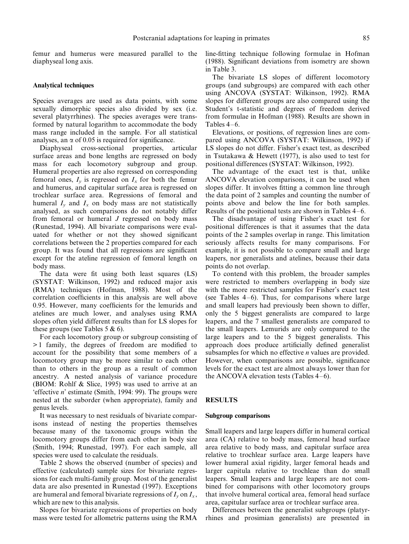femur and humerus were measured parallel to the diaphyseal long axis.

#### Analytical techniques

Species averages are used as data points, with some sexually dimorphic species also divided by sex (i.e. several platyrrhines). The species averages were transformed by natural logarithm to accommodate the body mass range included in the sample. For all statistical analyses, an  $\alpha$  of 0.05 is required for significance.

Diaphyseal cross-sectional properties, articular surface areas and bone lengths are regressed on body mass for each locomotory subgroup and group. Humeral properties are also regressed on corresponding femoral ones,  $I_v$  is regressed on  $I_x$  for both the femur and humerus, and capitular surface area is regressed on trochlear surface area. Regressions of femoral and humeral  $I_y$  and  $I_x$  on body mass are not statistically analysed, as such comparisons do not notably differ from femoral or humeral J regressed on body mass (Runestad, 1994). All bivariate comparisons were evaluated for whether or not they showed significant correlations between the 2 properties compared for each group. It was found that all regressions are significant except for the ateline regression of femoral length on body mass.

The data were fit using both least squares  $(LS)$ (SYSTAT: Wilkinson, 1992) and reduced major axis (RMA) techniques (Hofman, 1988). Most of the correlation coefficients in this analysis are well above 0.95. However, many coefficients for the lemurids and atelines are much lower, and analyses using RMA slopes often yield different results than for LS slopes for these groups (see Tables 5  $\&$  6).

For each locomotory group or subgroup consisting of >1 family, the degrees of freedom are modified to account for the possibility that some members of a locomotory group may be more similar to each other than to others in the group as a result of common ancestry. A nested analysis of variance procedure (BIOM: Rohlf & Slice, 1995) was used to arrive at an 'effective  $n$ ' estimate (Smith, 1994: 99). The groups were nested at the suborder (when appropriate), family and genus levels.

It was necessary to nest residuals of bivariate comparisons instead of nesting the properties themselves because many of the taxonomic groups within the locomotory groups differ from each other in body size (Smith, 1994; Runestad, 1997). For each sample, all species were used to calculate the residuals.

Table 2 shows the observed (number of species) and effective (calculated) sample sizes for bivariate regressions for each multi-family group. Most of the generalist data are also presented in Runestad (1997). Exceptions are humeral and femoral bivariate regressions of  $I_v$  on  $I_x$ , which are new to this analysis.

Slopes for bivariate regressions of properties on body mass were tested for allometric patterns using the RMA line-fitting technique following formulae in Hofman (1988). Significant deviations from isometry are shown in Table 3.

The bivariate LS slopes of different locomotory groups (and subgroups) are compared with each other using ANCOVA (SYSTAT: Wilkinson, 1992). RMA slopes for different groups are also compared using the Student's t-statistic and degrees of freedom derived from formulae in Hofman (1988). Results are shown in Tables  $4-6$ .

Elevations, or positions, of regression lines are compared using ANCOVA (SYSTAT: Wilkinson, 1992) if LS slopes do not differ. Fisher's exact test, as described in Tsutakawa & Hewett (1977), is also used to test for positional differences (SYSTAT: Wilkinson, 1992).

The advantage of the exact test is that, unlike ANCOVA elevation comparisons, it can be used when slopes differ. It involves fitting a common line through the data point of 2 samples and counting the number of points above and below the line for both samples. Results of the positional tests are shown in Tables  $4-6$ .

The disadvantage of using Fisher's exact test for positional differences is that it assumes that the data points of the 2 samples overlap in range. This limitation seriously affects results for many comparisons. For example, it is not possible to compare small and large leapers, nor generalists and atelines, because their data points do not overlap.

To contend with this problem, the broader samples were restricted to members overlapping in body size with the more restricted samples for Fisher's exact test (see Tables  $4-6$ ). Thus, for comparisons where large and small leapers had previously been shown to differ, only the 5 biggest generalists are compared to large leapers, and the 7 smallest generalists are compared to the small leapers. Lemurids are only compared to the large leapers and to the 5 biggest generalists. This approach does produce artificially defined generalist subsamples for which no effective *n* values are provided. However, when comparisons are possible, significance levels for the exact test are almost always lower than for the ANCOVA elevation tests (Tables  $4-6$ ).

#### RESULTS

#### Subgroup comparisons

Small leapers and large leapers differ in humeral cortical area (CA) relative to body mass, femoral head surface area relative to body mass, and capitular surface area relative to trochlear surface area. Large leapers have lower humeral axial rigidity, larger femoral heads and larger capitula relative to trochleae than do small leapers. Small leapers and large leapers are not combined for comparisons with other locomotory groups that involve humeral cortical area, femoral head surface area, capitular surface area or trochlear surface area.

Differences between the generalist subgroups (platyrrhines and prosimian generalists) are presented in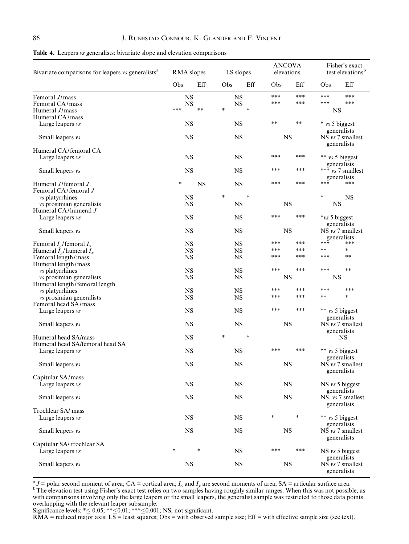| Bivariate comparisons for leapers vs generalists <sup>a</sup> | RMA slopes |             | LS slopes |        |           | <b>ANCOVA</b><br>elevations |            |             | Fisher's exact<br>test elevations <sup>b</sup> |                |                     |
|---------------------------------------------------------------|------------|-------------|-----------|--------|-----------|-----------------------------|------------|-------------|------------------------------------------------|----------------|---------------------|
|                                                               | Obs        |             | Eff       | Obs    |           | Eff                         | Obs        |             | Eff                                            | Obs            | Eff                 |
| Femoral <i>J</i> /mass                                        |            | <b>NS</b>   |           |        | <b>NS</b> |                             | ***        |             | ***                                            | ***            | ***                 |
| Femoral CA/mass                                               |            | NS          |           |        | <b>NS</b> |                             | ***        |             | ***                                            | ***            | ***                 |
| Humeral $J/mass$                                              | ***        |             | $**$      | $\ast$ |           | $\ast$                      |            |             |                                                | <b>NS</b>      |                     |
| Humeral CA/mass                                               |            |             |           |        |           |                             |            |             |                                                |                |                     |
| Large leapers vs                                              |            | <b>NS</b>   |           |        | <b>NS</b> |                             | $\ast\ast$ |             | $***$                                          | * vs 5 biggest |                     |
|                                                               |            |             |           |        |           |                             |            |             |                                                |                | generalists         |
| Small leapers vs                                              |            | <b>NS</b>   |           |        | <b>NS</b> |                             |            | <b>NS</b>   |                                                |                | NS vs 7 smallest    |
|                                                               |            |             |           |        |           |                             |            |             |                                                |                | generalists         |
| Humeral CA/femoral CA                                         |            |             |           |        |           |                             |            |             |                                                |                |                     |
| Large leapers vs                                              |            | <b>NS</b>   |           |        | <b>NS</b> |                             | ***        |             | ***                                            |                | ** vs 5 biggest     |
|                                                               |            |             |           |        |           |                             |            |             |                                                |                | generalists         |
| Small leapers vs                                              |            | <b>NS</b>   |           |        | <b>NS</b> |                             | ***        |             | ***                                            |                | *** $vs$ 7 smallest |
|                                                               |            |             |           |        |           |                             |            |             |                                                |                | generalists         |
| Humeral $J$ /femoral $J$                                      | $\ast$     |             | <b>NS</b> |        | <b>NS</b> |                             | ***        |             | ***                                            | ***            | ***                 |
| Femoral CA/femoral J                                          |            |             |           |        |           |                             |            |             |                                                |                |                     |
| <i>vs</i> platyrrhines                                        |            | <b>NS</b>   |           | $\ast$ |           | $\ast$                      |            |             |                                                | $\ast$         | <b>NS</b>           |
| <i>vs</i> prosimian generalists                               |            | <b>NS</b>   |           |        | <b>NS</b> |                             |            | NS          |                                                | <b>NS</b>      |                     |
| Humeral CA/humeral J                                          |            |             |           |        |           |                             |            |             |                                                |                |                     |
| Large leapers vs                                              |            | <b>NS</b>   |           |        | <b>NS</b> |                             | ***        |             | ***                                            | *vs 5 biggest  |                     |
|                                                               |            |             |           |        |           |                             |            |             |                                                |                | generalists         |
| Small leapers vs                                              |            | <b>NS</b>   |           |        | <b>NS</b> |                             |            | NS          |                                                |                | NS vs 7 smallest    |
|                                                               |            |             |           |        |           |                             |            |             |                                                |                | generalists         |
| Femoral $I_{\nu}$ /femoral $I_{\nu}$                          |            | <b>NS</b>   |           |        | <b>NS</b> |                             | ***        |             | ***                                            | ***            | ***                 |
| Humeral $I_v$ /humeral $I_x$                                  |            | <b>NS</b>   |           |        | <b>NS</b> |                             | ***        |             | ***                                            | **             | *                   |
| Femoral length/mass                                           |            | <b>NS</b>   |           |        | <b>NS</b> |                             | ***        |             | ***                                            | ***            | $**$                |
| Humeral length/mass                                           |            |             |           |        |           |                             |            |             |                                                |                |                     |
| <i>vs</i> platyrrhines                                        |            | <b>NS</b>   |           |        | <b>NS</b> |                             | ***        |             | ***                                            | ***            | $**$                |
| <i>vs</i> prosimian generalists                               |            | <b>NS</b>   |           |        | <b>NS</b> |                             |            | <b>NS</b>   |                                                | <b>NS</b>      |                     |
| Humeral length/femoral length                                 |            |             |           |        |           |                             |            |             |                                                |                |                     |
| <i>vs</i> platyrrhines                                        |            | <b>NS</b>   |           |        | <b>NS</b> |                             | ***        |             | ***                                            | ***            | ***                 |
| <i>vs</i> prosimian generalists                               |            | <b>NS</b>   |           |        | <b>NS</b> |                             | ***        |             | ***                                            | **             | $\ast$              |
| Femoral head SA/mass                                          |            |             |           |        |           |                             |            |             |                                                |                |                     |
| Large leapers vs                                              |            | <b>NS</b>   |           |        | <b>NS</b> |                             | ***        |             | ***                                            |                | ** vs 5 biggest     |
|                                                               |            |             |           |        |           |                             |            |             |                                                |                | generalists         |
| Small leapers vs                                              |            | <b>NS</b>   |           |        | <b>NS</b> |                             |            | <b>NS</b>   |                                                |                | NS vs 7 smallest    |
|                                                               |            |             |           |        |           |                             |            |             |                                                |                | generalists         |
| Humeral head SA/mass                                          |            | <b>NS</b>   |           | $\ast$ |           | $\ast$                      |            |             |                                                |                | NS                  |
| Humeral head SA/femoral head SA                               |            |             |           |        |           |                             |            |             |                                                |                |                     |
| Large leapers vs                                              |            | <b>NS</b>   |           |        | <b>NS</b> |                             | ***        |             | ***                                            |                | ** vs 5 biggest     |
|                                                               |            |             |           |        |           |                             |            |             |                                                |                | generalists         |
| Small leapers vs                                              |            | <b>NS</b>   |           |        | <b>NS</b> |                             |            | <b>NS</b>   |                                                |                | $NS$ vs 7 smallest  |
|                                                               |            |             |           |        |           |                             |            |             |                                                |                | generalists         |
| Capitular SA/mass                                             |            |             |           |        |           |                             |            |             |                                                |                |                     |
| Large leapers vs                                              |            | <b>NS</b>   |           |        | <b>NS</b> |                             |            | <b>NS</b>   |                                                |                | $NS$ vs 5 biggest   |
|                                                               |            |             |           |        |           |                             |            |             |                                                |                | generalists         |
| Small leapers vs                                              |            | <b>NS</b>   |           |        | <b>NS</b> |                             |            | $_{\rm NS}$ |                                                |                | NS. vs 7 smallest   |
|                                                               |            |             |           |        |           |                             |            |             |                                                |                | generalists         |
| Trochlear SA/ mass                                            |            |             |           |        |           |                             |            |             |                                                |                |                     |
| Large leapers vs                                              |            | <b>NS</b>   |           |        | <b>NS</b> |                             | $\ast$     |             | $\ast$                                         |                | ** vs 5 biggest     |
|                                                               |            |             |           |        |           |                             |            |             |                                                |                | generalists         |
| Small leapers vs                                              |            | $_{\rm NS}$ |           |        | <b>NS</b> |                             |            | <b>NS</b>   |                                                |                | NS vs 7 smallest    |
|                                                               |            |             |           |        |           |                             |            |             |                                                |                | generalists         |
| Capitular SA/trochlear SA                                     |            |             |           |        |           |                             |            |             |                                                |                |                     |
| Large leapers vs                                              | *          |             | $\ast$    |        | <b>NS</b> |                             | ***        |             | ***                                            |                | NS vs 5 biggest     |
|                                                               |            |             |           |        |           |                             |            |             |                                                |                | generalists         |
| Small leapers vs                                              |            | <b>NS</b>   |           |        | <b>NS</b> |                             |            | $_{\rm NS}$ |                                                |                | NS vs 7 smallest    |
|                                                               |            |             |           |        |           |                             |            |             |                                                |                | generalists         |

|  | <b>Table 4.</b> Leapers vs generalists: bivariate slope and elevation comparisons |  |  |
|--|-----------------------------------------------------------------------------------|--|--|
|  |                                                                                   |  |  |
|  |                                                                                   |  |  |

 $^a J$  = polar second moment of area; CA = cortical area;  $I_x$  and  $I_y$  are second moments of area; SA = articular surface area.<br><sup>b</sup> The elevation test using Fisher's exact test relies on two samples having roughly similar with comparisons involving only the large leapers or the small leapers, the generalist sample was restricted to those data points overlapping with the relevant leaper subsample.

Significance levels: \*  $\leq 0.05$ ; \*\* $\leq 0.01$ ; \*\*\*  $\leq 0.001$ ; NS, not significant.<br>RMA = reduced major axis; LS = least squares; Obs = with observed sample size; Eff = with effective sample size (see text).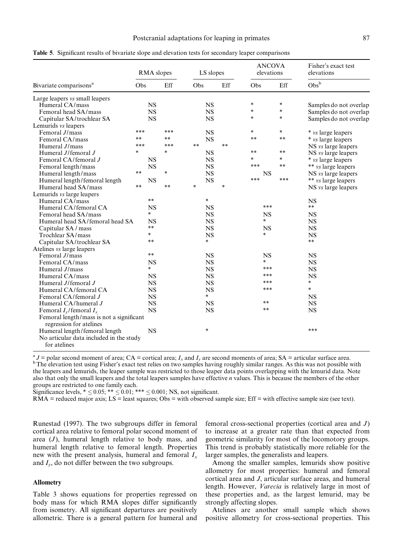|                                                                     | RMA slopes |        | LS slopes |           | <b>ANCOVA</b><br>elevations |            | Fisher's exact test<br>elevations |  |
|---------------------------------------------------------------------|------------|--------|-----------|-----------|-----------------------------|------------|-----------------------------------|--|
| Bivariate comparisons <sup>a</sup>                                  | Obs        | Eff    | Obs       | Eff       | Obs                         | Eff        | $Obs^b$                           |  |
| Large leapers vs small leapers                                      |            |        |           |           |                             |            |                                   |  |
| Humeral CA/mass                                                     | <b>NS</b>  |        |           | <b>NS</b> | *                           | $\ast$     | Samples do not overlap            |  |
| Femoral head SA/mass                                                | <b>NS</b>  |        |           | <b>NS</b> | *                           | $\ast$     | Samples do not overlap            |  |
| Capitular SA/trochlear SA                                           | <b>NS</b>  |        |           | <b>NS</b> | $\ast$                      | $\ast$     | Samples do not overlap            |  |
| Lemurids vs leapers                                                 |            |        |           |           |                             |            |                                   |  |
| Femoral <i>J</i> /mass                                              | ***        | ***    |           | NS        | $\ast$                      | $\ast$     | * vs large leapers                |  |
| Femoral CA/mass                                                     | $* *$      | **     |           | <b>NS</b> | **                          | $***$      | * vs large leapers                |  |
| Humeral $J/m$ ass                                                   | ***        | ***    | $**$      | $***$     |                             |            | NS vs large leapers               |  |
| Humeral $J$ /femoral $J$                                            | $\ast$     | *      |           | <b>NS</b> | **                          | $\ast\ast$ | NS vs large leapers               |  |
| Femoral CA/femoral J                                                | <b>NS</b>  |        |           | NS        | $\ast$                      | $\ast$     | * vs large leapers                |  |
| Femoral length/mass                                                 | <b>NS</b>  |        |           | <b>NS</b> | ***                         | $\ast\ast$ | ** vs large leapers               |  |
| Humeral length/mass                                                 | $**$       | $\ast$ |           | <b>NS</b> | <b>NS</b>                   |            | NS vs large leapers               |  |
| Humeral length/femoral length                                       | <b>NS</b>  |        |           | <b>NS</b> | ***                         | ***        | ** vs large leapers               |  |
| Humeral head SA/mass                                                | $**$       | $**$   | $\ast$    | $\ast$    |                             |            | NS vs large leapers               |  |
| Lemurids vs large leapers                                           |            |        |           |           |                             |            |                                   |  |
| Humeral CA/mass                                                     | **         |        | $\ast$    |           |                             |            | <b>NS</b>                         |  |
| Humeral CA/femoral CA                                               | <b>NS</b>  |        |           | <b>NS</b> | ***                         |            | **                                |  |
| Femoral head SA/mass                                                | $\ast$     |        |           | <b>NS</b> | <b>NS</b>                   |            | <b>NS</b>                         |  |
| Humeral head SA/femoral head SA                                     | <b>NS</b>  |        |           | <b>NS</b> | *                           |            | <b>NS</b>                         |  |
| Capitular SA / mass                                                 | $***$      |        |           | <b>NS</b> | <b>NS</b>                   |            | <b>NS</b>                         |  |
| Trochlear SA/mass                                                   | $\ast$     |        |           | <b>NS</b> | $\ast$                      |            | <b>NS</b>                         |  |
| Capitular SA/trochlear SA                                           | $***$      |        | $\ast$    |           |                             |            | $***$                             |  |
| Atelines vs large leapers                                           |            |        |           |           |                             |            |                                   |  |
| Femoral <i>J</i> /mass                                              | $***$      |        |           | <b>NS</b> | <b>NS</b>                   |            | <b>NS</b>                         |  |
| Femoral CA/mass                                                     | <b>NS</b>  |        |           | <b>NS</b> | $\ast$                      |            | <b>NS</b>                         |  |
| Humeral $J/mass$                                                    | $\ast$     |        |           | <b>NS</b> | ***                         |            | <b>NS</b>                         |  |
| Humeral CA/mass                                                     | <b>NS</b>  |        |           | <b>NS</b> | ***                         |            | <b>NS</b>                         |  |
| Humeral $J$ /femoral $J$                                            | NS         |        |           | <b>NS</b> | ***                         |            | $\ast$                            |  |
| Humeral CA/femoral CA                                               | <b>NS</b>  |        |           | <b>NS</b> | ***                         |            | $\ast$                            |  |
| Femoral CA/femoral J                                                | <b>NS</b>  |        | $\ast$    |           |                             |            | <b>NS</b>                         |  |
| Humeral CA/humeral J                                                | <b>NS</b>  |        |           | <b>NS</b> | **                          |            | <b>NS</b>                         |  |
| Femoral $I_v$ /femoral $I_x$                                        | <b>NS</b>  |        |           | <b>NS</b> | **                          |            | <b>NS</b>                         |  |
| Femoral length/mass is not a significant<br>regression for atelines |            |        |           |           |                             |            |                                   |  |
| Humeral length/femoral length                                       | <b>NS</b>  |        | $\ast$    |           |                             |            | ***                               |  |
| No articular data included in the study<br>for atelines             |            |        |           |           |                             |            |                                   |  |

Table 5. Significant results of bivariate slope and elevation tests for secondary leaper comparisons

 $^a$  J = polar second moment of area; CA = cortical area;  $I_x$  and  $I_y$  are second moments of area; SA = articular surface area.<br><sup>b</sup> The elevation test using Fisher's exact test relies on two samples having roughly simila the leapers and lemurids, the leaper sample was restricted to those leaper data points overlapping with the lemurid data. Note also that only the small leapers and the total leapers samples have effective n values. This is because the members of the other groups are restricted to one family each.

Significance levels, \*  $\leq 0.05$ ; \*\*  $\leq 0.01$ ; \*\*\*  $\leq 0.001$ ; NS, not significant.

 $RMA$  = reduced major axis; LS = least squares; Obs = with observed sample size; Eff = with effective sample size (see text).

Runestad (1997). The two subgroups differ in femoral cortical area relative to femoral polar second moment of area  $(J)$ , humeral length relative to body mass, and humeral length relative to femoral length. Properties new with the present analysis, humeral and femoral  $I_x$ and  $I_y$ , do not differ between the two subgroups.

## Allometry

Table 3 shows equations for properties regressed on body mass for which RMA slopes differ significantly from isometry. All significant departures are positively allometric. There is a general pattern for humeral and femoral cross-sectional properties (cortical area and J) to increase at a greater rate than that expected from geometric similarity for most of the locomotory groups. This trend is probably statistically more reliable for the larger samples, the generalists and leapers.

Among the smaller samples, lemurids show positive allometry for most properties: humeral and femoral cortical area and J, articular surface areas, and humeral length. However, Varecia is relatively large in most of these properties and, as the largest lemurid, may be strongly affecting slopes.

Atelines are another small sample which shows positive allometry for cross-sectional properties. This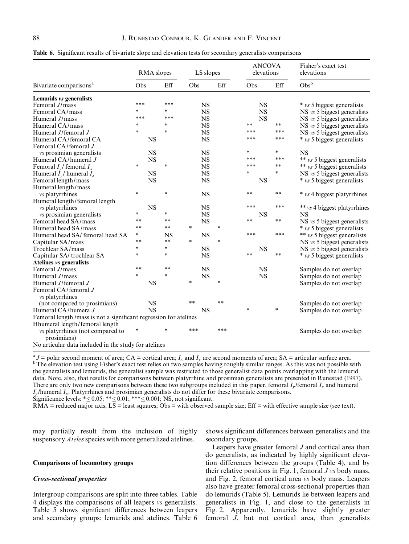|                                                                   | RMA slopes |           |        | LS slopes           |           | <b>ANCOVA</b><br>elevations | Fisher's exact test<br>elevations |  |
|-------------------------------------------------------------------|------------|-----------|--------|---------------------|-----------|-----------------------------|-----------------------------------|--|
| Bivariate comparisons <sup>a</sup>                                | Obs        | Eff       | Obs    | Eff                 | Obs       | Eff                         | $Obs^b$                           |  |
| Lemurids vs generalists                                           |            |           |        |                     |           |                             |                                   |  |
| Femoral <i>J</i> /mass                                            | ***        | ***       |        | <b>NS</b>           | <b>NS</b> |                             | * vs 5 biggest generalists        |  |
| Femoral CA/mass                                                   | *          | $\ast$    |        | <b>NS</b>           | NS        |                             | NS vs 5 biggest generalists       |  |
| Humeral <i>J</i> /mass                                            | ***        | ***       |        | <b>NS</b>           | <b>NS</b> |                             | NS vs 5 biggest generalists       |  |
| Humeral CA/mass                                                   | *          | $\ast$    |        | <b>NS</b>           | $***$     | $\ast\ast$                  | NS vs 5 biggest generalists       |  |
| Humeral J/femoral J                                               | $\ast$     | $\ast$    |        | <b>NS</b>           | ***       | ***                         | NS vs 5 biggest generalists       |  |
| Humeral CA/femoral CA                                             | <b>NS</b>  |           |        | <b>NS</b>           | ***       | ***                         | * vs 5 biggest generalists        |  |
| Femoral CA/femoral J                                              |            |           |        |                     |           |                             |                                   |  |
| <i>vs</i> prosimian generalists                                   | <b>NS</b>  |           |        | <b>NS</b>           | $\ast$    | *                           | <b>NS</b>                         |  |
| Humeral $CA/h$ umeral $J$                                         | <b>NS</b>  |           |        | <b>NS</b>           | ***       | ***                         | ** vs 5 biggest generalists       |  |
| Femoral $I_v$ femoral $I_x$                                       | $\ast$     | $\ast$    |        | <b>NS</b>           | ***       | $* *$                       | ** vs 5 biggest generalists       |  |
| Humeral $I_{\nu}$ humeral $I_{\nu}$                               | <b>NS</b>  |           |        | <b>NS</b>           | $\ast$    | *                           | NS vs 5 biggest generalists       |  |
| Femoral length/mass                                               | <b>NS</b>  |           |        | <b>NS</b>           | <b>NS</b> |                             | * vs 5 biggest generalists        |  |
| Humeral length/mass                                               |            |           |        |                     |           |                             |                                   |  |
| vs platyrrhines                                                   | $\ast$     | $\ast$    |        | <b>NS</b>           | $**$      | $**$                        | * vs 4 biggest platyrrhines       |  |
| Humeral length/femoral length                                     |            |           |        |                     |           |                             |                                   |  |
| vs platyrrhines                                                   | <b>NS</b>  |           |        | <b>NS</b>           | ***       | ***                         | ** vs 4 biggest platyrrhines      |  |
| <i>vs</i> prosimian generalists                                   | *          | $\ast$    |        | <b>NS</b>           | <b>NS</b> |                             | <b>NS</b>                         |  |
| Femoral head SA/mass                                              | $**$       | **        |        | <b>NS</b>           | $**$      | $**$                        | NS vs 5 biggest generalists       |  |
| Humeral head SA/mass                                              | $**$       | $* *$     | $\ast$ | $\ast$              |           |                             | * vs 5 biggest generalists        |  |
| Humeral head SA/ femoral head SA                                  | *          | <b>NS</b> |        | <b>NS</b>           | ***       | ***                         | ** vs 5 biggest generalists       |  |
|                                                                   | $**$       | $* *$     | $\ast$ | $\ast$              |           |                             | NS vs 5 biggest generalists       |  |
| Capitular SA/mass<br>Trochlear SA/mass                            | $\ast$     | $\ast$    |        | <b>NS</b>           | <b>NS</b> |                             |                                   |  |
|                                                                   | $\ast$     | $\ast$    |        | <b>NS</b>           | $**$      | $\ast\ast$                  | NS vs 5 biggest generalists       |  |
| Capitular SA/trochlear SA                                         |            |           |        |                     |           |                             | * vs 5 biggest generalists        |  |
| Atelines <i>vs</i> generalists                                    | $**$       | $* *$     |        | <b>NS</b>           |           |                             |                                   |  |
| Femoral J/mass                                                    | $\ast$     | $\ast$    |        |                     | <b>NS</b> |                             | Samples do not overlap            |  |
| Humeral $J/mass$                                                  |            |           | $\ast$ | <b>NS</b><br>$\ast$ | <b>NS</b> |                             | Samples do not overlap            |  |
| Humeral J/femoral J                                               | <b>NS</b>  |           |        |                     |           |                             | Samples do not overlap            |  |
| Femoral CA/femoral J                                              |            |           |        |                     |           |                             |                                   |  |
| <i>vs</i> platyrrhines                                            |            |           | $***$  | **                  |           |                             |                                   |  |
| (not compared to prosimians)                                      | <b>NS</b>  |           |        |                     | $\ast$    | $\ast$                      | Samples do not overlap            |  |
| Humeral CA/humera J                                               | <b>NS</b>  |           |        | <b>NS</b>           |           |                             | Samples do not overlap            |  |
| Femoral length /mass is not a significant regression for atelines |            |           |        |                     |           |                             |                                   |  |
| Hhumeral length/femoral length                                    |            | $\ast$    |        |                     |           |                             |                                   |  |
| vs platyrrhines (not compared to                                  | $\ast$     |           | ***    | ***                 |           |                             | Samples do not overlap            |  |
| prosimians)                                                       |            |           |        |                     |           |                             |                                   |  |
| No articular data included in the study for atelines              |            |           |        |                     |           |                             |                                   |  |

Table 6. Significant results of bivariate slope and elevation tests for secondary generalists comparisons

<sup>a</sup>  $J =$  polar second moment of area; CA = cortical area;  $I_x$  and  $I_y$  are second moments of area; SA = articular surface area.<br><sup>b</sup> The elevation test using Fisher's exact test relies on two samples having roughly simila the generalists and lemurids, the generalist sample was restricted to those generalist data points overlapping with the lemurid data. Note, also, that results for comparisons between platyrrhine and prosimian generalists are presented in Runestad (1997). There are only two new comparisons between these two subgroups included in this paper, femoral  $I_y$  /femoral  $I_x$  and humeral  $I_{\nu}$ /humeral  $I_{\nu}$ . Platyrrhines and prosimian generalists do not differ for these bivariate comparisons.

Significance levels: \* $\leq 0.05$ ; \*\* $\leq 0.01$ ; \*\*\* $\leq 0.001$ ; NS, not significant.

 $RMA$  = reduced major axis; LS = least squares; Obs = with observed sample size; Eff = with effective sample size (see text).

may partially result from the inclusion of highly suspensory Ateles species with more generalized atelines.

#### Comparisons of locomotory groups

## Cross-sectional properties

Intergroup comparisons are split into three tables. Table 4 displays the comparisons of all leapers vs generalists. Table 5 shows significant differences between leapers and secondary groups: lemurids and atelines. Table 6 shows significant differences between generalists and the secondary groups.

Leapers have greater femoral J and cortical area than do generalists, as indicated by highly significant elevation differences between the groups (Table 4), and by their relative positions in Fig. 1, femoral  $J$  vs body mass, and Fig. 2, femoral cortical area vs body mass. Leapers also have greater femoral cross-sectional properties than do lemurids (Table 5). Lemurids lie between leapers and generalists in Fig. 1, and close to the generalists in Fig. 2. Apparently, lemurids have slightly greater femoral  $J$ , but not cortical area, than generalists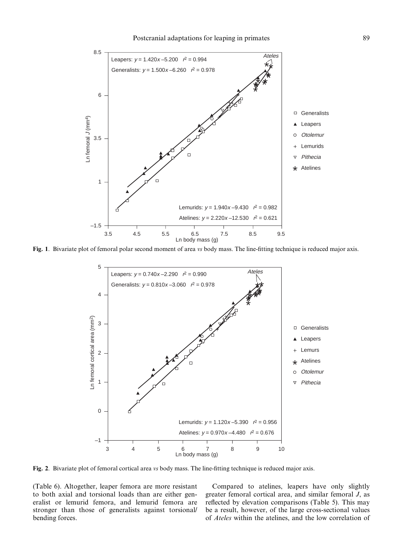

Fig. 1. Bivariate plot of femoral polar second moment of area vs body mass. The line-fitting technique is reduced major axis.



Fig. 2. Bivariate plot of femoral cortical area vs body mass. The line-fitting technique is reduced major axis.

(Table 6). Altogether, leaper femora are more resistant to both axial and torsional loads than are either generalist or lemurid femora, and lemurid femora are stronger than those of generalists against torsional/ bending forces.

Compared to atelines, leapers have only slightly greater femoral cortical area, and similar femoral J, as reflected by elevation comparisons (Table 5). This may be a result, however, of the large cross-sectional values of Ateles within the atelines, and the low correlation of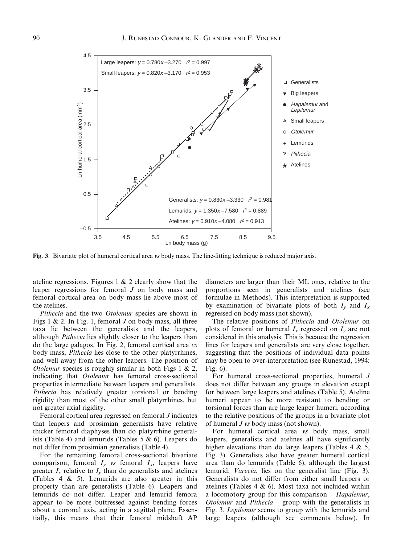

Fig. 3. Bivariate plot of humeral cortical area vs body mass. The line-fitting technique is reduced major axis.

ateline regressions. Figures 1  $\&$  2 clearly show that the leaper regressions for femoral J on body mass and femoral cortical area on body mass lie above most of the atelines.

Pithecia and the two Otolemur species are shown in Figs 1  $\&$  2. In Fig. 1, femoral *J* on body mass, all three taxa lie between the generalists and the leapers, although Pithecia lies slightly closer to the leapers than do the large galagos. In Fig. 2, femoral cortical area vs body mass, Pithecia lies close to the other platyrrhines, and well away from the other leapers. The position of Otolemur species is roughly similar in both Figs 1  $\&$  2, indicating that Otolemur has femoral cross-sectional properties intermediate between leapers and generalists. Pithecia has relatively greater torsional or bending rigidity than most of the other small platyrrhines, but not greater axial rigidity.

Femoral cortical area regressed on femoral J indicates that leapers and prosimian generalists have relative thicker femoral diaphyses than do platyrrhine generalists (Table 4) and lemurids (Tables 5  $\&$  6). Leapers do not differ from prosimian generalists (Table 4).

For the remaining femoral cross-sectional bivariate comparison, femoral  $I_y$  vs femoral  $I_x$ , leapers have greater  $I_x$  relative to  $I_y$  than do generalists and atelines (Tables 4 & 5). Lemurids are also greater in this property than are generalists (Table 6). Leapers and lemurids do not differ. Leaper and lemurid femora appear to be more buttressed against bending forces about a coronal axis, acting in a sagittal plane. Essentially, this means that their femoral midshaft AP diameters are larger than their ML ones, relative to the proportions seen in generalists and atelines (see formulae in Methods). This interpretation is supported by examination of bivariate plots of both  $I_v$  and  $I_x$ regressed on body mass (not shown).

The relative positions of Pithecia and Otolemur on plots of femoral or humeral  $I_x$  regressed on  $I_y$  are not considered in this analysis. This is because the regression lines for leapers and generalists are very close together, suggesting that the positions of individual data points may be open to over-interpretation (see Runestad, 1994: Fig. 6).

For humeral cross-sectional properties, humeral J does not differ between any groups in elevation except for between large leapers and atelines (Table 5). Ateline humeri appear to be more resistant to bending or torsional forces than are large leaper humeri, according to the relative positions of the groups in a bivariate plot of humeral J vs body mass (not shown).

For humeral cortical area vs body mass, small leapers, generalists and atelines all have significantly higher elevations than do large leapers (Tables  $4 \& 5$ , Fig. 3). Generalists also have greater humeral cortical area than do lemurids (Table 6), although the largest lemurid, Varecia, lies on the generalist line (Fig. 3). Generalists do not differ from either small leapers or atelines (Tables 4  $\&$  6). Most taxa not included within a locomotory group for this comparison  $-$  Hapalemur, Otolemur and Pithecia  $-$  group with the generalists in Fig. 3. Lepilemur seems to group with the lemurids and large leapers (although see comments below). In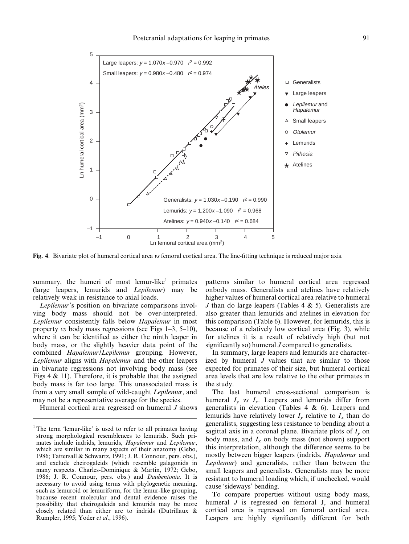

Fig. 4. Bivariate plot of humeral cortical area vs femoral cortical area. The line-fitting technique is reduced major axis.

summary, the humeri of most lemur-like<sup>1</sup> primates (large leapers, lemurids and Lepilemur) may be relatively weak in resistance to axial loads.

Lepilemur's position on bivariate comparisons involving body mass should not be over-interpreted. Lepilemur consistently falls below Hapalemur in most property vs body mass regressions (see Figs  $1-3$ ,  $5-10$ ), where it can be identified as either the ninth leaper in body mass, or the slightly heavier data point of the combined Hapalemur/Lepilemur grouping. However, Lepilemur aligns with Hapalemur and the other leapers in bivariate regressions not involving body mass (see Figs  $4 \& 11$ ). Therefore, it is probable that the assigned body mass is far too large. This unassociated mass is from a very small sample of wild-caught Lepilemur, and may not be a representative average for the species.

Humeral cortical area regressed on humeral  $J$  shows

patterns similar to humeral cortical area regressed onbody mass. Generalists and atelines have relatively higher values of humeral cortical area relative to humeral  $J$  than do large leapers (Tables 4 & 5). Generalists are also greater than lemurids and atelines in elevation for this comparison (Table 6). However, for lemurids, this is because of a relatively low cortical area (Fig. 3), while for atelines it is a result of relatively high (but not significantly so) humeral  $J$  compared to generalists.

In summary, large leapers and lemurids are characterized by humeral J values that are similar to those expected for primates of their size, but humeral cortical area levels that are low relative to the other primates in the study.

The last humeral cross-sectional comparison is humeral  $I_v$  vs  $I_x$ . Leapers and lemurids differ from generalists in elevation (Tables 4 & 6). Leapers and lemurids have relatively lower  $I_v$  relative to  $I_x$  than do generalists, suggesting less resistance to bending about a sagittal axis in a coronal plane. Bivariate plots of  $I_v$  on body mass, and  $I_x$  on body mass (not shown) support this interpretation, although the difference seems to be mostly between bigger leapers (indrids, Hapalemur and Lepilemur) and generalists, rather than between the small leapers and generalists. Generalists may be more resistant to humeral loading which, if unchecked, would cause `sideways' bending.

To compare properties without using body mass, humeral J is regressed on femoral J, and humeral cortical area is regressed on femoral cortical area. Leapers are highly significantly different for both

<sup>&</sup>lt;sup>1</sup>The term 'lemur-like' is used to refer to all primates having strong morphological resemblences to lemurids. Such primates include indrids, lemurids, Hapalemur and Lepilemur, which are similar in many aspects of their anatomy (Gebo, 1986; Tattersall & Schwartz, 1991; J. R. Connour, pers. obs.), and exclude cheirogaleids (which resemble galagonids in many respects. Charles-Dominique & Martin, 1972; Gebo, 1986; J. R. Connour, pers. obs.) and Daubentonia. It is necessary to avoid using terms with phylogenetic meaning, such as lemuroid or lemuriform, for the lemur-like grouping, bacause recent molecular and dental evidence raises the possibility that cheirogaleids and lemurids may be more closely related than either are to indrids (Dutrillaux & Rumpler, 1995; Yoder et al., 1996).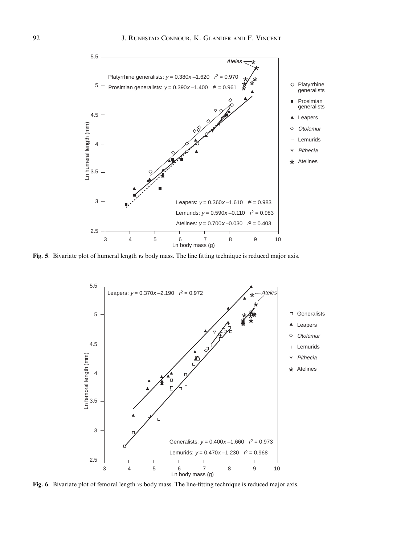

Fig. 5. Bivariate plot of humeral length vs body mass. The line fitting technique is reduced major axis.



Fig. 6. Bivariate plot of femoral length vs body mass. The line-fitting technique is reduced major axis.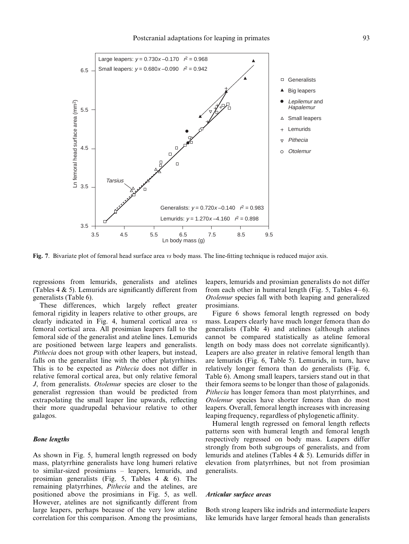

Fig. 7. Bivariate plot of femoral head surface area vs body mass. The line-fitting technique is reduced major axis.

regressions from lemurids, generalists and atelines (Tables  $4 \& 5$ ). Lemurids are significantly different from generalists (Table 6).

These differences, which largely reflect greater femoral rigidity in leapers relative to other groups, are clearly indicated in Fig. 4, humeral cortical area vs femoral cortical area. All prosimian leapers fall to the femoral side of the generalist and ateline lines. Lemurids are positioned between large leapers and generalists. Pithecia does not group with other leapers, but instead, falls on the generalist line with the other platyrrhines. This is to be expected as Pithecia does not differ in relative femoral cortical area, but only relative femoral J, from generalists. Otolemur species are closer to the generalist regression than would be predicted from extrapolating the small leaper line upwards, reflecting their more quadrupedal behaviour relative to other galagos.

## Bone lengths

As shown in Fig. 5, humeral length regressed on body mass, platyrrhine generalists have long humeri relative to similar-sized prosimians – leapers, lemurids, and prosimian generalists (Fig. 5, Tables 4 & 6). The remaining platyrrhines, Pithecia and the atelines, are positioned above the prosimians in Fig. 5, as well. However, atelines are not significantly different from large leapers, perhaps because of the very low ateline correlation for this comparison. Among the prosimians, leapers, lemurids and prosimian generalists do not differ from each other in humeral length (Fig. 5, Tables  $4-6$ ). Otolemur species fall with both leaping and generalized prosimians.

Figure 6 shows femoral length regressed on body mass. Leapers clearly have much longer femora than do generalists (Table 4) and atelines (although atelines cannot be compared statistically as ateline femoral length on body mass does not correlate significantly). Leapers are also greater in relative femoral length than are lemurids (Fig. 6, Table 5). Lemurids, in turn, have relatively longer femora than do generalists (Fig. 6, Table 6). Among small leapers, tarsiers stand out in that their femora seems to be longer than those of galagonids. Pithecia has longer femora than most platyrrhines, and Otolemur species have shorter femora than do most leapers. Overall, femoral length increases with increasing leaping frequency, regardless of phylogenetic affinity.

Humeral length regressed on femoral length reflects patterns seen with humeral length and femoral length respectively regressed on body mass. Leapers differ strongly from both subgroups of generalists, and from lemurids and atelines (Tables 4 & 5). Lemurids differ in elevation from platyrrhines, but not from prosimian generalists.

## Articular surface areas

Both strong leapers like indrids and intermediate leapers like lemurids have larger femoral heads than generalists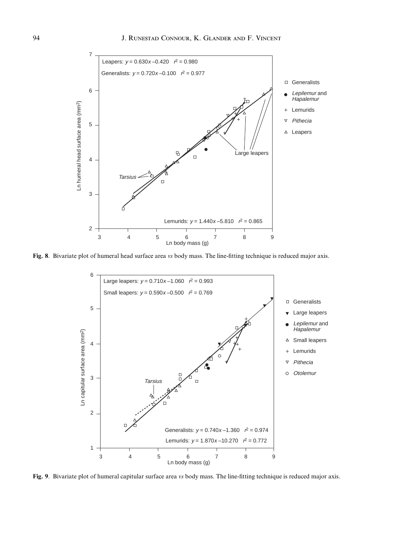

Fig. 8. Bivariate plot of humeral head surface area vs body mass. The line-fitting technique is reduced major axis.



Fig. 9. Bivariate plot of humeral capitular surface area vs body mass. The line-fitting technique is reduced major axis.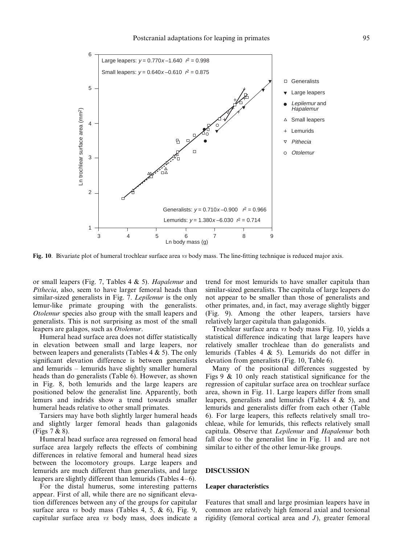

Fig. 10. Bivariate plot of humeral trochlear surface area vs body mass. The line-fitting technique is reduced major axis.

or small leapers (Fig. 7, Tables  $4 \& 5$ ). Hapalemur and Pithecia, also, seem to have larger femoral heads than similar-sized generalists in Fig. 7. Lepilemur is the only lemur-like primate grouping with the generalists. Otolemur species also group with the small leapers and generalists. This is not surprising as most of the small leapers are galagos, such as Otolemur.

Humeral head surface area does not differ statistically in elevation between small and large leapers, nor between leapers and generalists (Tables 4 & 5). The only significant elevation difference is between generalists and lemurids - lemurids have slightly smaller humeral heads than do generalists (Table 6). However, as shown in Fig. 8, both lemurids and the large leapers are positioned below the generalist line. Apparently, both lemurs and indrids show a trend towards smaller humeral heads relative to other small primates.

Tarsiers may have both slightly larger humeral heads and slightly larger femoral heads than galagonids (Figs 7 & 8).

Humeral head surface area regressed on femoral head surface area largely reflects the effects of combining differences in relative femoral and humeral head sizes between the locomotory groups. Large leapers and lemurids are much different than generalists, and large leapers are slightly different than lemurids (Tables  $4-6$ ).

For the distal humerus, some interesting patterns appear. First of all, while there are no significant elevation differences between any of the groups for capitular surface area vs body mass (Tables 4, 5, & 6), Fig. 9, capitular surface area vs body mass, does indicate a

trend for most lemurids to have smaller capitula than similar-sized generalists. The capitula of large leapers do not appear to be smaller than those of generalists and other primates, and, in fact, may average slightly bigger (Fig. 9). Among the other leapers, tarsiers have relatively larger capitula than galagonids.

Trochlear surface area vs body mass Fig. 10, yields a statistical difference indicating that large leapers have relatively smaller trochleae than do generalists and lemurids (Tables 4 & 5). Lemurids do not differ in elevation from generalists (Fig. 10, Table 6).

Many of the positional differences suggested by Figs 9  $\&$  10 only reach statistical significance for the regression of capitular surface area on trochlear surface area, shown in Fig. 11. Large leapers differ from small leapers, generalists and lemurids (Tables 4 & 5), and lemurids and generalists differ from each other (Table 6). For large leapers, this reflects relatively small trochleae, while for lemurids, this reflects relatively small capitula. Observe that Lepilemur and Hapalemur both fall close to the generalist line in Fig. 11 and are not similar to either of the other lemur-like groups.

## DISCUSSION

#### Leaper characteristics

Features that small and large prosimian leapers have in common are relatively high femoral axial and torsional rigidity (femoral cortical area and  $J$ ), greater femoral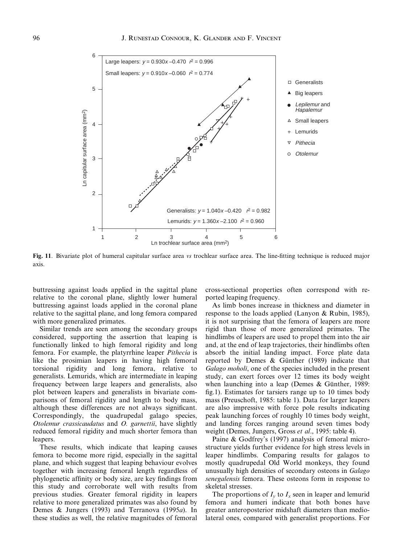

Fig. 11. Bivariate plot of humeral capitular surface area vs trochlear surface area. The line-fitting technique is reduced major axis.

buttressing against loads applied in the sagittal plane relative to the coronal plane, slightly lower humeral buttressing against loads applied in the coronal plane relative to the sagittal plane, and long femora compared with more generalized primates.

Similar trends are seen among the secondary groups considered, supporting the assertion that leaping is functionally linked to high femoral rigidity and long femora. For example, the platyrrhine leaper Pithecia is like the prosimian leapers in having high femoral torsional rigidity and long femora, relative to generalists. Lemurids, which are intermediate in leaping frequency between large leapers and generalists, also plot between leapers and generalists in bivariate comparisons of femoral rigidity and length to body mass, although these differences are not always significant. Correspondingly, the quadrupedal galago species, Otolemur crassicaudatus and O. garnettii, have slightly reduced femoral rigidity and much shorter femora than leapers.

These results, which indicate that leaping causes femora to become more rigid, especially in the sagittal plane, and which suggest that leaping behaviour evolves together with increasing femoral length regardless of phylogenetic affinity or body size, are key findings from this study and corroborate well with results from previous studies. Greater femoral rigidity in leapers relative to more generalized primates was also found by Demes & Jungers (1993) and Terranova (1995a). In these studies as well, the relative magnitudes of femoral

cross-sectional properties often correspond with reported leaping frequency.

As limb bones increase in thickness and diameter in response to the loads applied (Lanyon & Rubin, 1985), it is not surprising that the femora of leapers are more rigid than those of more generalized primates. The hindlimbs of leapers are used to propel them into the air and, at the end of leap trajectories, their hindlimbs often absorb the initial landing impact. Force plate data reported by Demes  $\&$  Günther (1989) indicate that Galago moholi, one of the species included in the present study, can exert forces over 12 times its body weight when launching into a leap (Demes  $&$  Günther, 1989: fig.1). Estimates for tarsiers range up to 10 times body mass (Preuschoft, 1985: table 1). Data for larger leapers are also impressive with force pole results indicating peak launching forces of roughly 10 times body weight, and landing forces ranging around seven times body weight (Demes, Jungers, Gross *et al.*, 1995: table 4).

Paine & Godfrey's (1997) analysis of femoral microstructure yields further evidence for high stress levels in leaper hindlimbs. Comparing results for galagos to mostly quadrupedal Old World monkeys, they found unusually high densities of secondary osteons in Galago senegalensis femora. These osteons form in response to skeletal stresses.

The proportions of  $I_v$  to  $I_x$  seen in leaper and lemurid femora and humeri indicate that both bones have greater anteroposterior midshaft diameters than mediolateral ones, compared with generalist proportions. For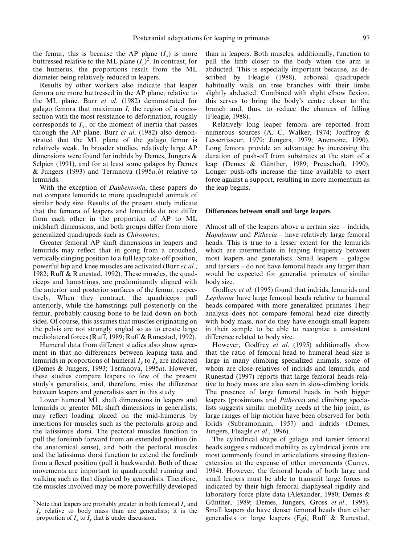the femur, this is because the AP plane  $(I_x)$  is more buttressed relative to the ML plane  $(I_y)^2$ . In contrast, for the humerus, the proportions result from the ML diameter being relatively reduced in leapers.

Results by other workers also indicate that leaper femora are more buttressed in the AP plane, relative to the ML plane. Burr et al. (1982) demonstrated for galago femora that maximum  $I$ , the region of a crosssection with the most resistance to deformation, roughly corresponds to  $I_x$ , or the moment of inertia that passes through the AP plane. Burr et al. (1982) also demonstrated that the ML plane of the galago femur is relatively weak. In broader studies, relatively large AP dimensions were found for indrids by Demes, Jungers & Selpien (1991), and for at least some galagos by Demes & Jungers (1993) and Terranova (1995 $a,b$ ) relative to lemurids.

With the exception of Daubentonia, these papers do not compare lemurids to more quadrupedal animals of similar body size. Results of the present study indicate that the femora of leapers and lemurids do not differ from each other in the proportion of AP to ML midshaft dimensions, and both groups differ from more generalized quadrupeds such as Chiropotes.

Greater femoral AP shaft dimensions in leapers and lemurids may reflect that in going from a crouched, vertically clinging position to a full leap take-off position, powerful hip and knee muscles are activated (Burr et al., 1982; Ruff & Runestad, 1992). These muscles, the quadriceps and hamstrings, are predominantly aligned with the anterior and posterior surfaces of the femur, respectively. When they contract, the quadriceps pull anteriorly, while the hamstrings pull posteriorly on the femur, probably causing bone to be laid down on both sides. Of course, this assumes that muscles originating on the pelvis are not strongly angled so as to create large mediolateral forces (Ruff, 1989; Ruff & Runestad, 1992).

Humeral data from different studies also show agreement in that no differences between leaping taxa and lemurids in proportions of humeral  $I_v$  to  $I_x$  are indicated (Demes & Jungers, 1993; Terranova, 1995a). However, these studies compare leapers to few of the present study's generalists, and, therefore, miss the difference between leapers and generalists seen in this study.

Lower humeral ML shaft dimensions in leapers and lemurids or greater ML shaft dimensions in generalists, may reflect loading placed on the mid-humerus by insertions for muscles such as the pectoralis group and the latissimus dorsi. The pectoral muscles function to pull the forelimb forward from an extended position (in the anatomical sense), and both the pectoral muscles and the latissimus dorsi function to extend the forelimb from a flexed position (pull it backwards). Both of these movements are important in quadrupedal running and walking such as that displayed by generalists. Therefore, the muscles involved may be more powerfully developed than in leapers. Both muscles, additionally, function to pull the limb closer to the body when the arm is abducted. This is especially important because, as described by Fleagle (1988), arboreal quadrupeds habitually walk on tree branches with their limbs slightly abducted. Combined with slight elbow flexion, this serves to bring the body's centre closer to the branch and, thus, to reduce the chances of falling (Fleagle, 1988).

Relatively long leaper femora are reported from numerous sources (A. C. Walker, 1974; Jouffroy & Lessertisseur, 1979; Jungers, 1979; Anemone, 1990). Long femora provide an advantage by increasing the duration of push-off from substrates at the start of a leap (Demes & Günther, 1989; Preuschoft, 1990). Longer push-offs increase the time available to exert force against a support, resulting in more momentum as the leap begins.

#### Differences between small and large leapers

Almost all of the leapers above a certain size  $-$  indrids,  $Hapalemur$  and  $Pithecia$  – have relatively large femoral heads. This is true to a lesser extent for the lemurids which are intermediate in leaping frequency between most leapers and generalists. Small leapers  $-\text{galagos}$ and tarsiers  $-\text{ do not have femoral heads}$  any larger than would be expected for generalist primates of similar body size.

Godfrey et al. (1995) found that indrids, lemurids and Lepilemur have large femoral heads relative to humeral heads compared with more generalized primates Their analysis does not compare femoral head size directly with body mass, nor do they have enough small leapers in their sample to be able to recognize a consistent difference related to body size.

However, Godfrey et al. (1995) additionally show that the ratio of femoral head to humeral head size is large in many climbing specialized animals, some of whom are close relatives of indrids and lemurids, and Runestad (1997) reports that large femoral heads relative to body mass are also seen in slow-climbing lorids. The presence of large femoral heads in both bigger leapers (prosimians and Pithecia) and climbing specialists suggests similar mobility needs at the hip joint, as large ranges of hip motion have been observed for both lorids (Subramoniam, 1957) and indrids (Demes, Jungers, Fleagle et al., 1996).

The cylindrical shape of galago and tarsier femoral heads suggests reduced mobility as cylindrical joints are most commonly found in articulations stressing flexionextension at the expense of other movements (Currey, 1984). However, the femoral heads of both large and small leapers must be able to transmit large forces as indicated by their high femoral diaphyseal rigidity and laboratory force plate data (Alexander, 1980; Demes & Günther, 1989; Demes, Jungers, Gross et al., 1995). Small leapers do have denser femoral heads than either generalists or large leapers (Egi, Ruff & Runestad,

<sup>&</sup>lt;sup>2</sup> Note that leapers are probably greater in both femoral  $I_x$  and  $I<sub>y</sub>$  relative to body mass than are generalists; it is the proportion of  $I_x$  to  $I_y$  that is under discussion.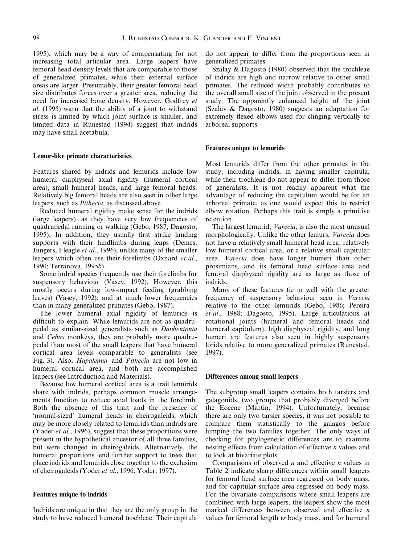1995), which may be a way of compensating for not increasing total articular area. Large leapers have femoral head density levels that are comparable to those of generalized primates, while their external surface areas are larger. Presumably, their greater femoral head size distributes forces over a greater area, reducing the need for increased bone density. However, Godfrey et al. (1995) warn that the ability of a joint to withstand stress is limited by which joint surface is smaller, and limited data in Runestad (1994) suggest that indrids may have small acetabula.

#### Lemur-like primate characteristics

Features shared by indrids and lemurids include low humeral diaphyseal axial rigidity (humeral cortical area), small humeral heads, and large femoral heads. Relatively big femoral heads are also seen in other large leapers, such as Pithecia, as discussed above.

Reduced humeral rigidity make sense for the indrids (large leapers), as they have very low frequencies of quadrupedal running or walking (Gebo, 1987; Dagosto, 1995). In addition, they usually first strike landing supports with their hindlimbs during leaps (Demes, Jungers, Fleagle et al., 1996), unlike many of the smaller leapers which often use their forelimbs (Oxnard et al., 1990; Terranova, 1995b).

Some indrid species frequently use their forelimbs for suspensory behaviour (Vasey, 1992). However, this mostly occurs during low-impact feeding (grabbing leaves) (Vasey, 1992), and at much lower frequencies than in many generalized primates (Gebo, 1987).

The lower humeral axial rigidity of lemurids is difficult to explain. While lemurids are not as quadrupedal as similar-sized generalists such as Daubentonia and Cebus monkeys, they are probably more quadrupedal than most of the small leapers that have humeral cortical area levels comparable to generalists (see Fig. 3). Also, Hapalemur and Pithecia are not low in humeral cortical area, and both are accomplished leapers (see Introduction and Materials).

Because low humeral cortical area is a trait lemurids share with indrids, perhaps common muscle arrangements function to reduce axial loads in the forelimb. Both the absence of this trait and the presence of `normal-sized' humeral heads in cheirogaleids, which may be more closely related to lemurids than indrids are (Yoder et al., 1996), suggest that these proportions were present in the hypothetical ancestor of all three families, but were changed in cheirogaleids. Alternatively, the humeral proportions lend further support to trees that place indrids and lemurids close together to the exclusion of cheirogaleids (Yoder et al., 1996; Yoder, 1997).

#### Features unique to indrids

Indrids are unique in that they are the only group in the study to have reduced humeral trochleae. Their capitula

do not appear to differ from the proportions seen in generalized primates.

Szalay & Dagosto (1980) observed that the trochleae of indrids are high and narrow relative to other small primates. The reduced width probably contributes to the overall small size of the joint observed in the present study. The apparently enhanced height of the joint (Szalay & Dagosto, 1980) suggests an adaptation for extremely flexed elbows used for clinging vertically to arboreal supports.

#### Features unique to lemurids

Most lemurids differ from the other primates in the study, including indrids, in having smaller capitula, while their trochleae do not appear to differ from those of generalists. It is not readily apparent what the advantage of reducing the capitulum would be for an arboreal primate, as one would expect this to restrict elbow rotation. Perhaps this trait is simply a primitive retention.

The largest lemurid, Varecia, is also the most unusual morphologically. Unlike the other lemurs, Varecia does not have a relatively small humeral head area, relatively low humeral cortical area, or a relative small capitular area. Varecia does have longer humeri than other prosimians, and its femoral head surface area and femoral diaphyseal rigidity are as large as those of indrids.

Many of these features tie in well with the greater frequency of suspensory behaviour seen in Varecia relative to the other lemurids (Gebo, 1986; Pereira et al., 1988; Dagosto, 1995). Large articulations at rotational joints (humeral and femoral heads and humeral capitulum), high diaphyseal rigidity, and long humeri are features also seen in highly suspensory lorids relative to more generalized primates (Runestad, 1997).

#### Differences among small leapers

The subgroup small leapers contains both tarsiers and galagonids, two groups that probably diverged before the Eocene (Martin, 1994). Unfortunately, because there are only two tarsier species, it was not possible to compare them statistically to the galagos before lumping the two families together. The only ways of checking for phylogenetic differences are to examine nesting effects from calculation of effective n values and to look at bivariate plots.

Comparisons of observed  $n$  and effective  $n$  values in Table 2 indicate sharp differences within small leapers for femoral head surface area regressed on body mass, and for capitular surface area regressed on body mass. For the bivariate comparisons where small leapers are combined with large leapers, the leapers show the most marked differences between observed and effective  $n$ values for femoral length vs body mass, and for humeral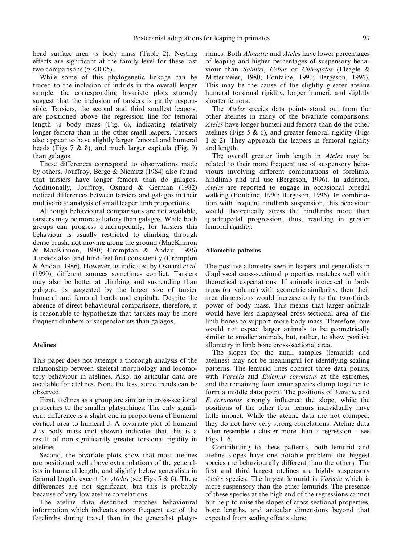head surface area vs body mass (Table 2). Nesting effects are significant at the family level for these last two comparisons ( $\alpha$  < 0.05).

While some of this phylogenetic linkage can be traced to the inclusion of indrids in the overall leaper sample, the corresponding bivariate plots strongly suggest that the inclusion of tarsiers is partly responsible. Tarsiers, the second and third smallest leapers, are positioned above the regression line for femoral length vs body mass (Fig. 6), indicating relatively longer femora than in the other small leapers. Tarsiers also appear to have slightly larger femoral and humeral heads (Figs 7 & 8), and much larger capitula (Fig. 9) than galagos.

These differences correspond to observations made by others. Jouffroy, Berge & Niemitz (1984) also found that tarsiers have longer femora than do galagos. Additionally, Jouffroy, Oxnard & German (1982) noticed differences between tarsiers and galagos in their multivariate analysis of small leaper limb proportions.

Although behavioural comparisons are not available, tarsiers may be more saltatory than galagos. While both groups can progress quadrupedally, for tarsiers this behaviour is usually restricted to climbing through dense brush, not moving along the ground (MacKinnon & MacKinnon, 1980; Crompton & Andau, 1986) Tarsiers also land hind-feet first consistently (Crompton & Andau, 1986). However, as indicated by Oxnard et al. (1990), different sources sometimes conflict. Tarsiers may also be better at climbing and suspending than galagos, as suggested by the larger size of tarsier humeral and femoral heads and capitula. Despite the absence of direct behavioural comparisons, therefore, it is reasonable to hypothesize that tarsiers may be more frequent climbers or suspensionists than galagos.

#### Atelines

This paper does not attempt a thorough analysis of the relationship between skeletal morphology and locomotory behaviour in atelines. Also, no articular data are available for atelines. None the less, some trends can be observed.

First, atelines as a group are similar in cross-sectional properties to the smaller platyrrhines. The only significant difference is a slight one in proportions of humeral cortical area to humeral J. A bivariate plot of humeral J vs body mass (not shown) indicates that this is a result of non-significantly greater torsional rigidity in atelines.

Second, the bivariate plots show that most atelines are positioned well above extrapolations of the generalists in humeral length, and slightly below generalists in femoral length, except for *Ateles* (see Figs  $5 & 6$ ). These differences are not significant, but this is probably because of very low ateline correlations.

The ateline data described matches behavioural information which indicates more frequent use of the forelimbs during travel than in the generalist platyrrhines. Both Alouatta and Ateles have lower percentages of leaping and higher percentages of suspensory behaviour than Saimiri, Cebus or Chiropotes (Fleagle & Mittermeier, 1980; Fontaine, 1990; Bergeson, 1996). This may be the cause of the slightly greater ateline humeral torsional rigidity, longer humeri, and slightly shorter femora.

The Ateles species data points stand out from the other atelines in many of the bivariate comparisons. Ateles have longer humeri and femora than do the other atelines (Figs 5  $\&$  6), and greater femoral rigidity (Figs 1 & 2). They approach the leapers in femoral rigidity and length.

The overall greater limb length in Ateles may be related to their more frequent use of suspensory behaviours involving different combinations of forelimb, hindlimb and tail use (Bergeson, 1996). In addition, Ateles are reported to engage in occasional bipedal walking (Fontaine, 1990; Bergeson, 1996). In combination with frequent hindlimb suspension, this behaviour would theoretically stress the hindlimbs more than quadrupedal progression, thus, resulting in greater femoral rigidity.

## Allometric patterns

The positive allometry seen in leapers and generalists in diaphyseal cross-sectional properties matches well with theoretical expectations. If animals increased in body mass (or volume) with geometric similarity, then their area dimensions would increase only to the two-thirds power of body mass. This means that larger animals would have less diaphyseal cross-sectional area of the limb bones to support more body mass. Therefore, one would not expect larger animals to be geometrically similar to smaller animals, but, rather, to show positive allometry in limb bone cross-sectional area.

The slopes for the small samples (lemurids and atelines) may not be meaningful for identifying scaling patterns. The lemurid lines connect three data points, with *Varecia* and *Eulemur coronatus* at the extremes, and the remaining four lemur species clump together to form a middle data point. The positions of Varecia and  $E.$  coronatus strongly influence the slope, while the positions of the other four lemurs individually have little impact. While the ateline data are not clumped, they do not have very strong correlations. Ateline data often resemble a cluster more than a regression  $-$  see Figs  $1-6$ .

Contributing to these patterns, both lemurid and ateline slopes have one notable problem: the biggest species are behaviourally different than the others. The first and third largest atelines are highly suspensory Ateles species. The largest lemurid is *Varecia* which is more suspensory than the other lemurids. The presence of these species at the high end of the regressions cannot but help to raise the slopes of cross-sectional properties, bone lengths, and articular dimensions beyond that expected from scaling effects alone.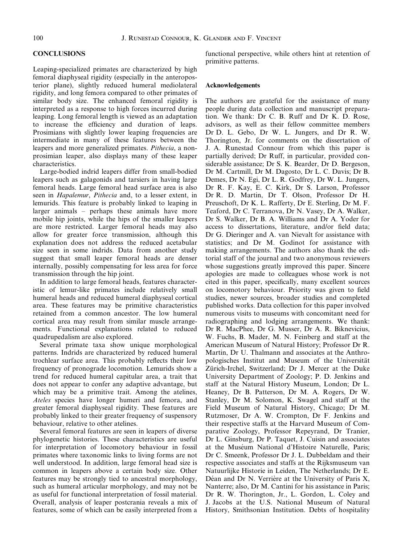### **CONCLUSIONS**

Leaping-specialized primates are characterized by high femoral diaphyseal rigidity (especially in the anteroposterior plane), slightly reduced humeral mediolateral rigidity, and long femora compared to other primates of similar body size. The enhanced femoral rigidity is interpreted as a response to high forces incurred during leaping. Long femoral length is viewed as an adaptation to increase the efficiency and duration of leaps. Prosimians with slightly lower leaping frequencies are intermediate in many of these features between the leapers and more generalized primates. Pithecia, a nonprosimian leaper, also displays many of these leaper characteristics.

Large-bodied indrid leapers differ from small-bodied leapers such as galagonids and tarsiers in having large femoral heads. Large femoral head surface area is also seen in Hapalemur, Pithecia and, to a lesser extent, in lemurids. This feature is probably linked to leaping in larger animals - perhaps these animals have more mobile hip joints, while the hips of the smaller leapers are more restricted. Larger femoral heads may also allow for greater force transmission, although this explanation does not address the reduced acetabular size seen in some indrids. Data from another study suggest that small leaper femoral heads are denser internally, possibly compensating for less area for force transmission through the hip joint.

In addition to large femoral heads, features characteristic of lemur-like primates include relatively small humeral heads and reduced humeral diaphyseal cortical area. These features may be primitive characteristics retained from a common ancestor. The low humeral cortical area may result from similar muscle arrangements. Functional explanations related to reduced quadrupedalism are also explored.

Several primate taxa show unique morphological patterns. Indrids are characterized by reduced humeral trochlear surface area. This probably reflects their low frequency of pronograde locomotion. Lemurids show a trend for reduced humeral capitular area, a trait that does not appear to confer any adaptive advantage, but which may be a primitive trait. Among the atelines, Ateles species have longer humeri and femora, and greater femoral diaphyseal rigidity. These features are probably linked to their greater frequency of suspensory behaviour, relative to other atelines.

Several femoral features are seen in leapers of diverse phylogenetic histories. These characteristics are useful for interpretation of locomotory behaviour in fossil primates where taxonomic links to living forms are not well understood. In addition, large femoral head size is common in leapers above a certain body size. Other features may be strongly tied to ancestral morphology, such as humeral articular morphology, and may not be as useful for functional interpretation of fossil material. Overall, analysis of leaper postcrania reveals a mix of features, some of which can be easily interpreted from a functional perspective, while others hint at retention of primitive patterns.

#### Acknowledgements

The authors are grateful for the assistance of many people during data collection and manuscript preparation. We thank: Dr C. B. Ruff and Dr K. D. Rose, advisors, as well as their fellow committee members Dr D. L. Gebo, Dr W. L. Jungers, and Dr R. W. Thorington, Jr. for comments on the dissertation of J. A. Runestad Connour from which this paper is partially derived; Dr Ruff, in particular, provided considerable assistance; Dr S. K. Bearder, Dr D. Bergeson, Dr M. Cartmill, Dr M. Dagosto, Dr L. C. Davis; Dr B. Demes, Dr N. Egi, Dr L. R. Godfrey, Dr W. L. Jungers, Dr R. F. Kay, E. C. Kirk, Dr S. Larson, Professor Dr R. D. Martin, Dr T. Olson, Professor Dr H. Preuschoft, Dr K. L. Rafferty, Dr E. Sterling, Dr M. F. Teaford, Dr C. Terranova, Dr N. Vasey, Dr A. Walker, Dr S. Walker, Dr B. A. Williams and Dr A. Yoder for access to dissertations, literature, and/or field data; Dr G. Dieringer and A. van Nievalt for assistance with statistics; and Dr M. Godinot for assistance with making arrangements. The authors also thank the editorial staff of the journal and two anonymous reviewers whose suggestions greatly improved this paper. Sincere apologies are made to colleagues whose work is not cited in this paper, specifically, many excellent sources on locomotory behaviour. Priority was given to field studies, newer sources, broader studies and completed published works. Data collection for this paper involved numerous visits to museums with concomitant need for radiographing and lodging arrangements. We thank: Dr R. MacPhee, Dr G. Musser, Dr A. R. Biknevicius, W. Fuchs, B. Mader, M. N. Feinberg and staff at the American Museum of Natural History; Professor Dr R. Martin, Dr U. Thalmann and associates at the Anthropologisches Institut and Museum of the Universität Zürich-Irchel, Switzerland; Dr J. Mercer at the Duke University Department of Zoology; P. D. Jenkins and staff at the Natural History Museum, London; Dr L. Heaney, Dr B. Patterson, Dr M. A. Rogers, Dr W. Stanley, Dr M. Solomon, K. Swagel and staff at the Field Museum of Natural History, Chicago; Dr M. Rutzmoser, Dr A. W. Crompton, Dr F. Jenkins and their respective staffs at the Harvard Museum of Comparative Zoology, Professor Repeyrand, Dr Tranier, Dr L. Ginsburg, Dr P. Taquet, J. Cuisin and associates at the Muséum National d'Histoire Naturelle, Paris; Dr C. Smeenk, Professor Dr J. L. Dubbeldam and their respective associates and staffs at the Rijksmuseum van Natuurlijke Historie in Leiden, The Netherlands; Dr E. Déan and Dr N. Verrière at the University of Paris  $X$ , Nanterre; also, Dr M. Cantini for his assistance in Paris; Dr R. W. Thorington, Jr., L. Gordon, L. Coley and J. Jacobs at the U.S. National Museum of Natural History, Smithsonian Institution. Debts of hospitality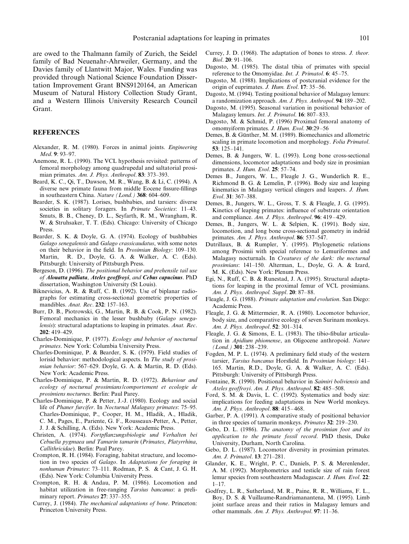are owed to the Thalmann family of Zurich, the Seidel family of Bad Neuenahr-Ahrweiler, Germany, and the Davies family of Llantwitt Major, Wales. Funding was provided through National Science Foundation Dissertation Improvement Grant BNS9120164, an American Museum of Natural History Collection Study Grant, and a Western Illinois University Research Council Grant.

## **REFERENCES**

- Alexander, R. M. (1980). Forces in animal joints. Engineering Med. 9: 93-97.
- Anemone, R. L. (1990). The VCL hypothesis revisited: patterns of femoral morphology among quadrupedal and saltatorial prosimian primates. Am. J. Phys. Anthropol. 83: 373-393.
- Beard, K. C., Qi, T., Dawson, M. R., Wang, B. & Li, C. (1994). A diverse new primate fauna from middle Eocene fissure-fillings in southeastern China. Nature (Lond.) 368: 604-609.
- Bearder, S. K. (1987). Lorises, bushbabies, and tarsiers: diverse societies in solitary foragers. In Primate Societies: 11-43. Smuts, B. B., Cheney, D. L., Seyfarth, R. M., Wrangham, R. W. & Struhsaker, T. T. (Eds). Chicago: University of Chicago Press.
- Bearder, S. K. & Doyle, G. A. (1974). Ecology of bushbabies Galago senegalensis and Galago crassicaudatus, with some notes on their behavior in the field. In Prosimian Biology: 109-130. Martin, R. D., Doyle, G. A. & Walker, A. C. (Eds). Pittsburgh: University of Pittsburgh Press.
- Bergeson, D. (1996). The positional behavior and prehensile tail use of Alouatta palliata, Ateles geoffroyi, and Cebus capucinus. PhD dissertation, Washington University (St Louis).
- Biknevicius, A. R. & Ruff, C. B. (1992). Use of biplanar radiographs for estimating cross-sectional geometric properties of mandibles. Anat. Rec. 232: 157-163.
- Burr, D. B., Piotrowski, G., Martin, R. B. & Cook, P. N. (1982). Femoral mechanics in the lesser bushbaby (Galago senegalensis): structural adaptations to leaping in primates. Anat. Rec. 202: 419±429.
- Charles-Dominique, P. (1977). Ecology and behavior of nocturnal primates. New York: Columbia University Press.
- Charles-Dominique, P. & Bearder, S. K. (1979). Field studies of lorisid behavior: methodological aspects. In The study of prosimian behavior: 567-629. Doyle, G. A. & Martin, R. D. (Eds). New York: Academic Press.
- Charles-Dominique, P. & Martin, R. D. (1972). Behaviour and ecology of nocturnal prosimians/comportement et ecologie de prosimiens nocturnes. Berlin: Paul Parey.
- Charles-Dominique, P. & Petter, J.-J. (1980). Ecology and social life of Phaner furcifer. In Nocturnal Malagasy primates: 75-95. Charles-Dominique, P., Cooper, H. M., Hladik, A., Hladik, C. M., Pages, E., Pariente, G. F., Rousseaux-Petter, A., Petter, J. J. & Schilling, A. (Eds). New York: Academic Press.
- Christen, A. (1974). Fortpflanzungsbiologie und Verhalten bei Cebuella pygmaea und Tamarin tamarin (Primates, Platyrrhina, Callithricidae). Berlin: Paul Parey.
- Crompton, R. H. (1984). Foraging, habitat structure, and locomotion in two species of Galago. In Adaptations for foraging in nonhuman Primates: 73-111. Rodman, P. S. & Cant, J. G. H. (Eds). New York: Columbia University Press.
- Crompton, R. H. & Andau, P. M. (1986). Locomotion and habitat utilization in free-ranging *Tarsius bancanus*: a preliminary report. Primates 27: 337-355.
- Currey, J. (1984). The mechanical adaptations of bone. Princeton: Princeton University Press.
- Currey, J. D. (1968). The adaptation of bones to stress. J. theor. Biol.  $20: 91-106$ .
- Dagosto, M. (1985). The distal tibia of primates with special reference to the Omomyidae. *Int. J. Primatol.* 6:  $45-75$ .
- Dagosto, M. (1988). Implications of postcranial evidence for the origin of euprimates. J. Hum. Evol. 17: 35-56.
- Dagosto, M. (1994). Testing positional behavior of Malagasy lemurs: a randomization approach. Am. J. Phys. Anthropol. 94: 189-202.
- Dagosto, M. (1995). Seasonal variation in positional behavior of Malagasy lemurs. Int. J. Primatol. 16: 807-833.
- Dagosto, M. & Schmid, P. (1996) Proximal femoral anatomy of omomyiform primates. J. Hum. Evol. 30:29-56
- Demes, B. & Günther, M. M. (1989). Biomechanics and allometric scaling in primate locomotion and morphology. Folia Primatol. 53:  $125 - 141$ .
- Demes, B. & Jungers, W. L. (1993). Long bone cross-sectional dimensions, locomotor adaptations and body size in prosimian primates. J. Hum. Evol. 25: 57-74.
- Demes B., Jungers, W. L., Fleagle J. G., Wunderlich R. E., Richmond B. G. & Lemelin, P. (1996). Body size and leaping kinematics in Malagasy vertical clingers and leapers. J. Hum. Evol. 31: 367–388.
- Demes, B., Jungers, W. L., Gross, T. S. & Fleagle, J. G. (1995). Kinetics of leaping primates: influence of substrate orientation and compliance. Am. J. Phys. Anthropol.  $96: 419-429$ .
- Demes, B., Jungers, W. L. & Selpien, K. (1991). Body size, locomotion, and long bone cross-sectional geometry in indriid primates. Am. J. Phys. Anthropol.  $86: 537-547$ .
- Dutrillaux, B. & Rumpler, Y. (1995). Phylogenetic relations among Prosimii with special reference to Lemuriformes and Malagasy nocturnals. In Creatures of the dark: the nocturnal prosimians: 141-150. Alterman, L., Doyle, G. A. & Izard, M. K. (Eds). New York: Plenum Press.
- Egi, N., Ruff, C. B. & Runestad, J. A. (1995). Structural adaptations for leaping in the proximal femur of VCL prosimians. Am. J. Phys. Anthropol. Suppl. 20: 87-88.
- Fleagle, J. G. (1988). Primate adaptation and evolution. San Diego: Academic Press.
- Fleagle, J. G. & Mittermeier, R. A. (1980). Locomotor behavior, body size, and comparative ecology of seven Surinam monkeys. Am. J. Phys. Anthropol. 52: 301-314.
- Fleagle, J. G. & Simons, E. L. (1983). The tibio-fibular articulation in Apidium phiomense, an Oligocene anthropoid. Nature  $(Lond.)$  301: 238-239.
- Fogden, M. P. L. (1974). A preliminary field study of the western tarsier, Tarsius bancanus Horsfield. In Prosimian biology: 141-165. Martin, R.D., Doyle, G. A. & Walker, A. C. (Eds). Pittsburgh: University of Pittsburgh Press.
- Fontaine, R. (1990). Positional behavior in Saimiri boliviensis and Ateles geoffroyi. Am. J. Phys. Anthropol. 82: 485-508.
- Ford, S. M. & Davis, L. C. (1992). Systematics and body size: implications for feeding adaptations in New World monkeys. Am. J. Phys. Anthropol. 88: 415-468.
- Garber, P. A. (1991). A comparative study of positional behavior in three species of tamarin monkeys. *Primates*  $32: 219 - 230$ .
- Gebo, D. L. (1986). The anatomy of the prosimian foot and its application to the primate fossil record. PhD thesis, Duke University, Durham, North Carolina.
- Gebo, D. L. (1987). Locomotor diversity in prosimian primates. Am. J. Primatol. 13: 271-281.
- Glander, K. E., Wright, P. C., Daniels, P. S. & Merenlender, A. M. (1992). Morphometrics and testicle size of rain forest lemur species from southeastern Madagascar. J. Hum. Evol. 22:  $1 - 17.$
- Godfrey, L. R., Sutherland, M. R., Paine, R. R., Williams, F. L., Boy, D. S. & Vuillaume-Randriamanantena, M. (1995). Limb joint surface areas and their ratios in Malagasy lemurs and other mammals. Am. J. Phys. Anthropol.  $97: 11–36$ .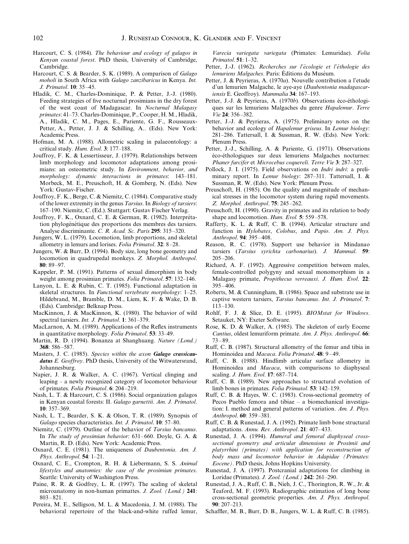- Harcourt, C. S. (1984). The behaviour and ecology of galagos in Kenyan coastal forest. PhD thesis, University of Cambridge, Cambridge.
- Harcourt, C. S. & Bearder, S. K. (1989). A comparison of Galago moholi in South Africa with Galago zanzibaricus in Kenya. Int. J. Primatol. 10: 35-45.
- Hladik, C. M., Charles-Dominique, P. & Petter, J.-J. (1980). Feeding strategies of five nocturnal prosimians in the dry forest of the west coast of Madagascar. In Nocturnal Malagasy primates: 41-73. Charles-Dominique, P., Cooper, H. M., Hladik, A., Hladik, C. M., Pages, E., Pariente, G. F., Rousseaux-Petter, A., Petter, J. J. & Schilling, A.. (Eds). New York: Academic Press.
- Hofman, M. A. (1988). Allometric scaling in palaeontology: a critical study. Hum. Evol. 3: 177-188.
- Jouffroy, F. K. & Lessertisseur, J. (1979). Relationships between limb morphology and locomotor adaptations among prosimians: an osteometric study. In Environment, behavior, and morphology: dynamic interactions in primates: 143-181. Morbeck, M. E., Preuschoft, H. & Gomberg, N. (Eds). New York: Gustav-Fischer.
- Jouffroy, F. K., Berge, C. & Niemitz, C. (1984). Comparative study of the lower extremity in the genus Tarsius. In Biology of tarsiers: 167-190. Niemitz, C. (Ed.). Stuttgart: Gustav Fischer Verlag.
- Jouffroy, F. K., Oxnard, C. E. & German, R. (1982). Interprétation phylogénétique des proportions des membres des tarsiers. Analyse discriminante. C. R. Acad. Sc. Paris 295: 315-320.
- Jungers, W. L. (1979). Locomotion, limb proportions, and skeletal allometry in lemurs and lorises. Folia Primatol.  $32: 8-28$ .
- Jungers, W. & Burr, D. (1994). Body size, long bone geometry and locomotion in quadrupedal monkeys. Z. Morphol. Anthropol. 80: 89-97.
- Kappeler, P. M. (1991). Patterns of sexual dimorphism in body weight among prosimian primates. Folia Primatol. 57: 132-146.
- Lanyon, L. E. & Rubin, C. T. (1985). Functional adaptation in skeletal structures. In Functional vertebrate morphology:  $1-25$ . Hildebrand, M., Bramble, D. M., Liem, K. F. & Wake, D. B. (Eds). Cambridge: Belknap Press.
- MacKinnon, J. & MacKinnon, K. (1980). The behavior of wild spectral tarsiers. Int. J. Primatol. 1: 361-379.
- MacLarnon, A. M. (1989). Applications of the Reflex instruments in quantitative morphology. Folia Primatol. 53: 33-49.
- Martin, R. D. (1994). Bonanza at Shanghuang. Nature (Lond.) 368: 586-587.
- Masters, J. C. (1985). Species within the axon Galago crassicaudatus E. Geoffroy. PhD thesis, University of the Witwatersrand, Johannesburg.
- Napier, J. R. & Walker, A. C. (1967). Vertical clinging and leaping - a newly recognized category of locomotor behaviour of primates. Folia Primatol. 6: 204-219.
- Nash, L. T. & Harcourt, C. S. (1986). Social organization galagos in Kenyan coastal forests: II. Galago garnettii. Am. J. Primatol. 10: 357±369.
- Nash, L. T., Bearder, S. K. & Olson, T. R. (1989). Synopsis of Galago species characteristics. Int. J. Primatol. 10: 57-80.
- Niemitz, C. (1979). Outline of the behavior of Tarsius bancanus. In The study of prosimian behavior:  $631-660$ . Doyle, G. A. & Martin, R. D. (Eds). New York: Academic Press.
- Oxnard, C. E. (1981). The uniqueness of Daubentonia. Am. J. Phys. Anthropol.  $54: 1-21$ .
- Oxnard, C. E., Crompton, R. H. & Liebermann, S. S. Animal lifestyles and anatomies: the case of the prosimian primates. Seattle: University of Washington Press.
- Paine, R. R. & Godfrey, L. R. (1997). The scaling of skeletal microanatomy in non-human primattes. J. Zool. (Lond.) 241:  $803 - 821$ .
- Pereira, M. E., Selligson, M. L. & Macedonia, J. M. (1988). The behavioral repertoire of the black-and-white ruffed lemur,

Varecia variegata variegata (Primates: Lemuridae). Folia Primatol. 51: 1-32.

- Petter, J.-J. (1962). Recherches sur l'écologie et l'éthologie des lemuriens Malgaches. Paris: Editions du Muséum.
- Petter, J. & Peyrieras, A. (1970a). Nouvelle contribution a l'etude d'un lemurien Malgache, le aye-aye (Daubentonia madagascariensis E. Geoffroy). Mammalia 34: 167-193.
- Petter, J.-J. & Peyrieras, A. (1970b). Observations éco-éthologiques sur les lemuriens Malgaches du genre Hapalemur. Terre  $Vie$  24: 356-382.
- Petter, J.-J. & Peyrieras, A. (1975). Preliminary notes on the behavior and ecology of Hapalemur griseus. In Lemur biology: 281-286. Tattersall, I. & Sussman, R. W. (Eds). New York: Plenum Press.
- Petter, J.-J., Schilling, A. & Pariente, G. (1971). Observations éco-éthologiques sur deux lemuriens Malgaches nocturnes: Phaner furcifer et Microcebus coquereli. Terre Vie 3: 287-327.
- Pollock, J. I. (1975). Field observations on Indri indri: a preliminary report. In Lemur biology: 287-311. Tattersall, I. & Sussman, R. W. (Eds). New York: Plenum Press.
- Preuschoft, H. (1985). On the quality and magnitude of mechanical stresses in the locomotor system during rapid movements. Z. Morphol. Anthropol. 75: 245-262.
- Preuschoft, H. (1990). Gravity in primates and its relation to body shape and locomotion. Hum. Evol. 5: 559-578.
- Rafferty, K. L. & Ruff, C. B. (1994). Articular structure and function in Hylobates, Colobus, and Papio. Am. J. Phys. Anthropol. 94: 395-408.
- Reason, R. C. (1978). Support use behavior in Mindanao tarsiers (Tarsius syrichta carbonarius). J. Mammal. 59:  $205 - 206$ .
- Richard, A. F. (1992). Aggressive competition between males, female-controlled polygyny and sexual monomorphism in a Malagasy primate, Propithecus verreauxi. J. Hum. Evol. 22:  $395 - 406$ .
- Roberts, M. & Cunningham, B. (1986). Space and substrate use in captive western tarsiers, Tarsius bancanus. Int. J. Primatol. 7:  $113 - 130.$
- Rohlf, F. J. & Slice, D. E. (1995). BIOMstat for Windows. Setauket, NY: Exeter Software.
- Rose, K. D. & Walker, A. (1985). The skeleton of early Eocene Cantius, oldest lemuriform primate. Am. J. Phys. Anthropol. 66:  $73 - 89.$
- Ruff, C. B. (1987). Structural allometry of the femur and tibia in Hominoidea and Macaca. Folia Primatol. 48: 9-49.
- Ruff, C. B. (1988). Hindlimb articular surface allometry in Hominoidea and *Macaca*, with comparisons to diaphyseal scaling. J. Hum. Evol. 17: 687-714.
- Ruff, C. B. (1989). New approaches to structural evolution of limb bones in primates. Folia Primatol. 53: 142-159.
- Ruff, C. B. & Hayes, W. C. (1983). Cross-sectional geometry of Pecos Pueblo femora and tibiae  $-$  a biomechanical investigation: I. method and general patterns of variation. Am. J. Phys. Anthropol. 60: 359-381.
- Ruff, C. B. & Runestad, J. A. (1992). Primate limb bone structural adaptations. Annu. Rev. Anthropol. 21: 407-433.
- Runestad, J. A. (1994). Humeral and femoral diaphyseal crosssectional geometry and articular dimensions in Prosimii and platyrrhini (primates) with application for reconstruction of body mass and locomotor behavior in Adapidae (Primates: Eocene). PhD thesis, Johns Hopkins University.
- Runestad, J. A. (1997). Postcranial adaptations for climbing in Loridae (Primates). J. Zool. (Lond.) 242: 261-290.
- Runestad, J. A., Ruff, C. B., Nieh, J. C., Thorington, R. W., Jr. & Teaford, M. F. (1993). Radiographic estimation of long bone cross-sectional geometric properties. Am. J. Phys. Anthropol. 90: 207±213.
- Schaffler, M. B., Burr, D. B., Jungers, W. L. & Ruff, C. B. (1985).